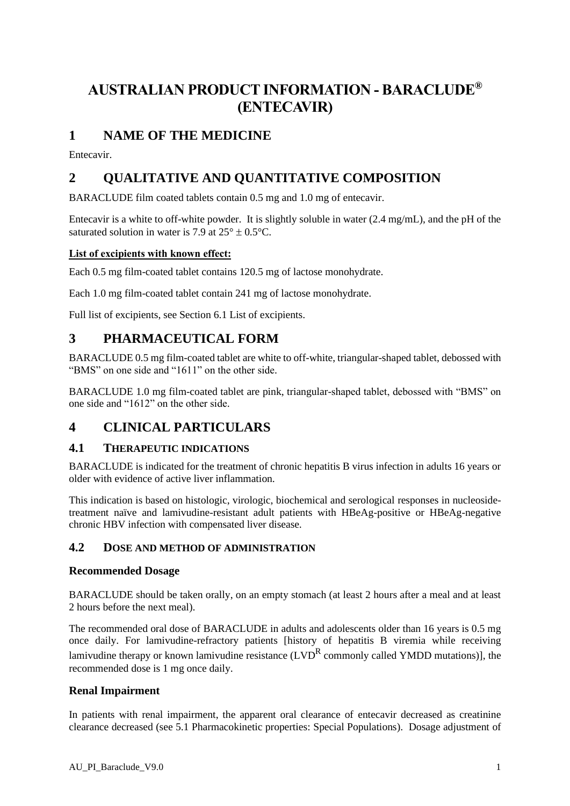# **AUSTRALIAN PRODUCT INFORMATION - BARACLUDE® (ENTECAVIR)**

# **1 NAME OF THE MEDICINE**

Entecavir.

# **2 QUALITATIVE AND QUANTITATIVE COMPOSITION**

BARACLUDE film coated tablets contain 0.5 mg and 1.0 mg of entecavir.

Entecavir is a white to off-white powder. It is slightly soluble in water (2.4 mg/mL), and the pH of the saturated solution in water is 7.9 at  $25^\circ + 0.5^\circ C$ .

# **List of excipients with known effect:**

Each 0.5 mg film-coated tablet contains 120.5 mg of lactose monohydrate.

Each 1.0 mg film-coated tablet contain 241 mg of lactose monohydrate.

Full list of excipients, see Section 6.1 List of excipients.

# **3 PHARMACEUTICAL FORM**

BARACLUDE 0.5 mg film-coated tablet are white to off-white, triangular-shaped tablet, debossed with "BMS" on one side and "1611" on the other side.

BARACLUDE 1.0 mg film-coated tablet are pink, triangular-shaped tablet, debossed with "BMS" on one side and "1612" on the other side.

# **4 CLINICAL PARTICULARS**

# **4.1 THERAPEUTIC INDICATIONS**

BARACLUDE is indicated for the treatment of chronic hepatitis B virus infection in adults 16 years or older with evidence of active liver inflammation.

This indication is based on histologic, virologic, biochemical and serological responses in nucleosidetreatment naïve and lamivudine-resistant adult patients with HBeAg-positive or HBeAg-negative chronic HBV infection with compensated liver disease.

# **4.2 DOSE AND METHOD OF ADMINISTRATION**

#### **Recommended Dosage**

BARACLUDE should be taken orally, on an empty stomach (at least 2 hours after a meal and at least 2 hours before the next meal).

The recommended oral dose of BARACLUDE in adults and adolescents older than 16 years is 0.5 mg once daily. For lamivudine-refractory patients [history of hepatitis B viremia while receiving lamivudine therapy or known lamivudine resistance (LVD<sup>R</sup> commonly called YMDD mutations)], the recommended dose is 1 mg once daily.

# **Renal Impairment**

In patients with renal impairment, the apparent oral clearance of entecavir decreased as creatinine clearance decreased (see 5.1 Pharmacokinetic properties: Special Populations). Dosage adjustment of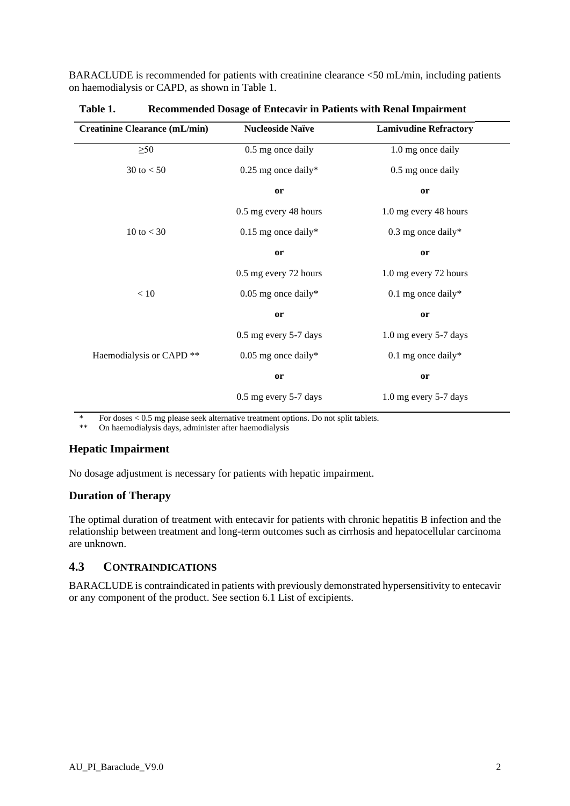BARACLUDE is recommended for patients with creatinine clearance <50 mL/min, including patients on haemodialysis or CAPD, as shown in Table 1.

| <b>Creatinine Clearance (mL/min)</b> | <b>Nucleoside Naïve</b> | <b>Lamivudine Refractory</b> |
|--------------------------------------|-------------------------|------------------------------|
| $\geq 50$                            | 0.5 mg once daily       | 1.0 mg once daily            |
| 30 to $< 50$                         | $0.25$ mg once daily*   | 0.5 mg once daily            |
|                                      | or                      | or                           |
|                                      | 0.5 mg every 48 hours   | 1.0 mg every 48 hours        |
| 10 to $<$ 30                         | $0.15$ mg once daily*   | $0.3$ mg once daily*         |
|                                      | or                      | or                           |
|                                      | 0.5 mg every 72 hours   | 1.0 mg every 72 hours        |
| < 10                                 | $0.05$ mg once daily*   | $0.1$ mg once daily*         |
|                                      | or                      | or                           |
|                                      | 0.5 mg every 5-7 days   | 1.0 mg every 5-7 days        |
| Haemodialysis or CAPD**              | $0.05$ mg once daily*   | $0.1$ mg once daily*         |
|                                      | or                      | or                           |
|                                      | 0.5 mg every 5-7 days   | 1.0 mg every 5-7 days        |

**Table 1. Recommended Dosage of Entecavir in Patients with Renal Impairment**

\* For doses  $< 0.5$  mg please seek alternative treatment options. Do not split tablets.<br>\*\* On haemodialysis days, administer after haemodialysis

On haemodialysis days, administer after haemodialysis

# **Hepatic Impairment**

No dosage adjustment is necessary for patients with hepatic impairment.

# **Duration of Therapy**

The optimal duration of treatment with entecavir for patients with chronic hepatitis B infection and the relationship between treatment and long-term outcomes such as cirrhosis and hepatocellular carcinoma are unknown.

# **4.3 CONTRAINDICATIONS**

BARACLUDE is contraindicated in patients with previously demonstrated hypersensitivity to entecavir or any component of the product. See section 6.1 List of excipients.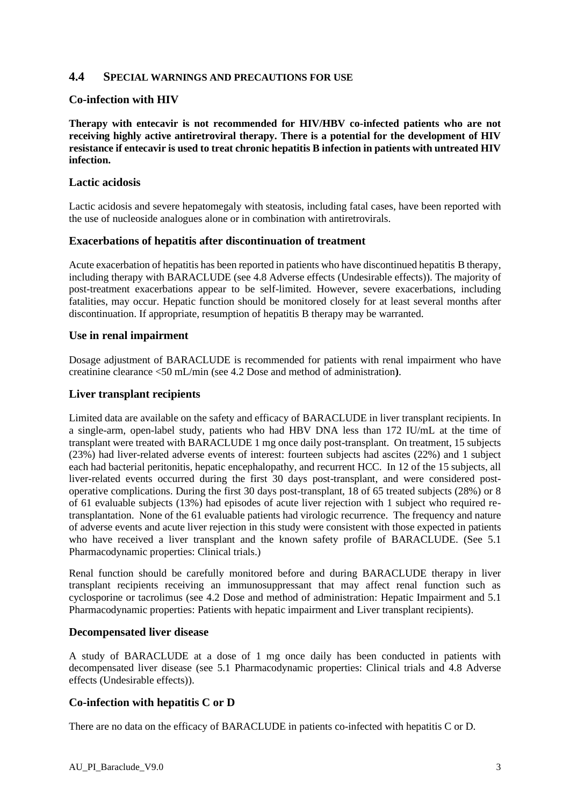#### **4.4 SPECIAL WARNINGS AND PRECAUTIONS FOR USE**

#### **Co-infection with HIV**

**Therapy with entecavir is not recommended for HIV/HBV co-infected patients who are not receiving highly active antiretroviral therapy. There is a potential for the development of HIV resistance if entecavir is used to treat chronic hepatitis B infection in patients with untreated HIV infection.**

#### **Lactic acidosis**

Lactic acidosis and severe hepatomegaly with steatosis, including fatal cases, have been reported with the use of nucleoside analogues alone or in combination with antiretrovirals.

#### **Exacerbations of hepatitis after discontinuation of treatment**

Acute exacerbation of hepatitis has been reported in patients who have discontinued hepatitis B therapy, including therapy with BARACLUDE (see 4.8 Adverse effects (Undesirable effects)). The majority of post-treatment exacerbations appear to be self-limited. However, severe exacerbations, including fatalities, may occur. Hepatic function should be monitored closely for at least several months after discontinuation. If appropriate, resumption of hepatitis B therapy may be warranted.

#### **Use in renal impairment**

Dosage adjustment of BARACLUDE is recommended for patients with renal impairment who have creatinine clearance <50 mL/min (see 4.2 Dose and method of administration**)**.

#### **Liver transplant recipients**

Limited data are available on the safety and efficacy of BARACLUDE in liver transplant recipients. In a single-arm, open-label study, patients who had HBV DNA less than 172 IU/mL at the time of transplant were treated with BARACLUDE 1 mg once daily post-transplant. On treatment, 15 subjects (23%) had liver-related adverse events of interest: fourteen subjects had ascites (22%) and 1 subject each had bacterial peritonitis, hepatic encephalopathy, and recurrent HCC. In 12 of the 15 subjects, all liver-related events occurred during the first 30 days post-transplant, and were considered postoperative complications. During the first 30 days post-transplant, 18 of 65 treated subjects (28%) or 8 of 61 evaluable subjects (13%) had episodes of acute liver rejection with 1 subject who required retransplantation. None of the 61 evaluable patients had virologic recurrence. The frequency and nature of adverse events and acute liver rejection in this study were consistent with those expected in patients who have received a liver transplant and the known safety profile of BARACLUDE. (See 5.1) Pharmacodynamic properties: Clinical trials.)

Renal function should be carefully monitored before and during BARACLUDE therapy in liver transplant recipients receiving an immunosuppressant that may affect renal function such as cyclosporine or tacrolimus (see 4.2 Dose and method of administration: Hepatic Impairment and 5.1 Pharmacodynamic properties: Patients with hepatic impairment and Liver transplant recipients).

#### **Decompensated liver disease**

A study of BARACLUDE at a dose of 1 mg once daily has been conducted in patients with decompensated liver disease (see 5.1 Pharmacodynamic properties: Clinical trials and 4.8 Adverse effects (Undesirable effects)).

#### **Co-infection with hepatitis C or D**

There are no data on the efficacy of BARACLUDE in patients co-infected with hepatitis C or D.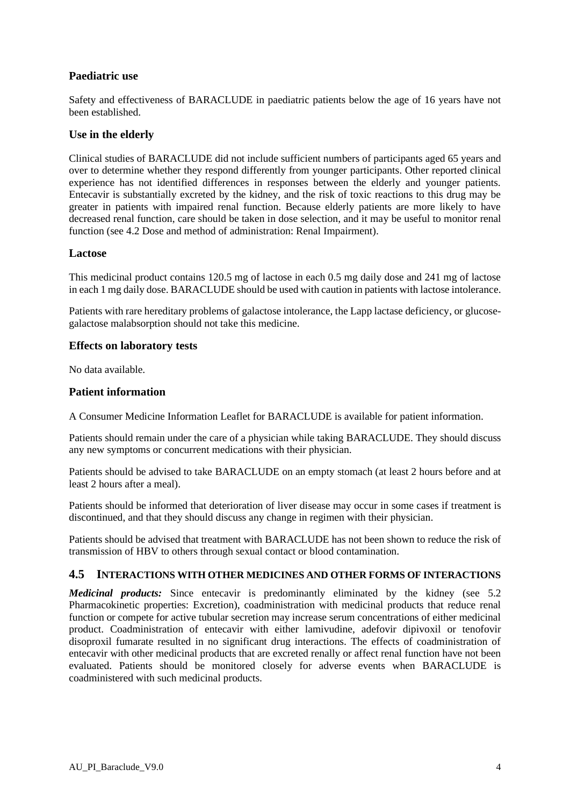## **Paediatric use**

Safety and effectiveness of BARACLUDE in paediatric patients below the age of 16 years have not been established.

#### **Use in the elderly**

Clinical studies of BARACLUDE did not include sufficient numbers of participants aged 65 years and over to determine whether they respond differently from younger participants. Other reported clinical experience has not identified differences in responses between the elderly and younger patients. Entecavir is substantially excreted by the kidney, and the risk of toxic reactions to this drug may be greater in patients with impaired renal function. Because elderly patients are more likely to have decreased renal function, care should be taken in dose selection, and it may be useful to monitor renal function (see 4.2 Dose and method of administration: Renal Impairment).

#### **Lactose**

This medicinal product contains 120.5 mg of lactose in each 0.5 mg daily dose and 241 mg of lactose in each 1 mg daily dose. BARACLUDE should be used with caution in patients with lactose intolerance.

Patients with rare hereditary problems of galactose intolerance, the Lapp lactase deficiency, or glucosegalactose malabsorption should not take this medicine.

#### **Effects on laboratory tests**

No data available.

#### **Patient information**

A Consumer Medicine Information Leaflet for BARACLUDE is available for patient information.

Patients should remain under the care of a physician while taking BARACLUDE. They should discuss any new symptoms or concurrent medications with their physician.

Patients should be advised to take BARACLUDE on an empty stomach (at least 2 hours before and at least 2 hours after a meal).

Patients should be informed that deterioration of liver disease may occur in some cases if treatment is discontinued, and that they should discuss any change in regimen with their physician.

Patients should be advised that treatment with BARACLUDE has not been shown to reduce the risk of transmission of HBV to others through sexual contact or blood contamination.

#### **4.5 INTERACTIONS WITH OTHER MEDICINES AND OTHER FORMS OF INTERACTIONS**

*Medicinal products:* Since entecavir is predominantly eliminated by the kidney (see 5.2) Pharmacokinetic properties: Excretion), coadministration with medicinal products that reduce renal function or compete for active tubular secretion may increase serum concentrations of either medicinal product. Coadministration of entecavir with either lamivudine, adefovir dipivoxil or tenofovir disoproxil fumarate resulted in no significant drug interactions. The effects of coadministration of entecavir with other medicinal products that are excreted renally or affect renal function have not been evaluated. Patients should be monitored closely for adverse events when BARACLUDE is coadministered with such medicinal products.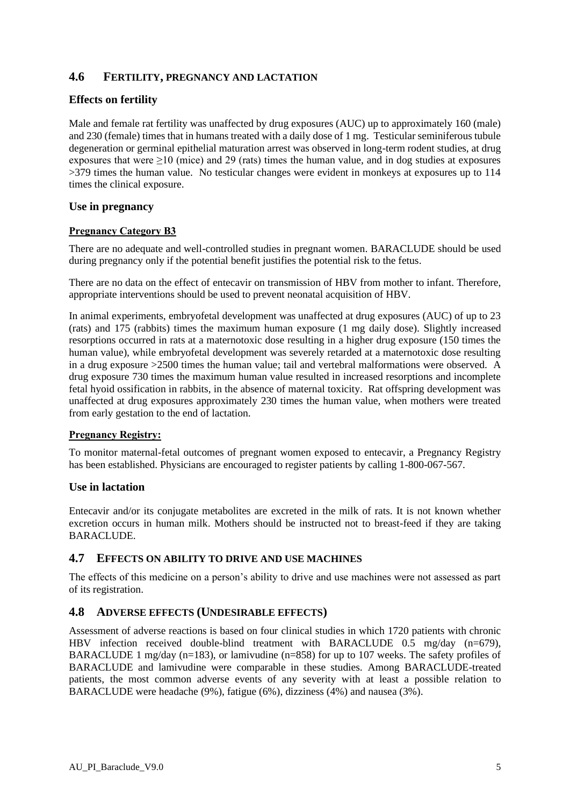# **4.6 FERTILITY, PREGNANCY AND LACTATION**

## **Effects on fertility**

Male and female rat fertility was unaffected by drug exposures (AUC) up to approximately 160 (male) and 230 (female) times that in humans treated with a daily dose of 1 mg. Testicular seminiferous tubule degeneration or germinal epithelial maturation arrest was observed in long-term rodent studies, at drug exposures that were  $\geq$ 10 (mice) and 29 (rats) times the human value, and in dog studies at exposures >379 times the human value. No testicular changes were evident in monkeys at exposures up to 114 times the clinical exposure.

#### **Use in pregnancy**

#### **Pregnancy Category B3**

There are no adequate and well-controlled studies in pregnant women. BARACLUDE should be used during pregnancy only if the potential benefit justifies the potential risk to the fetus.

There are no data on the effect of entecavir on transmission of HBV from mother to infant. Therefore, appropriate interventions should be used to prevent neonatal acquisition of HBV.

In animal experiments, embryofetal development was unaffected at drug exposures (AUC) of up to 23 (rats) and 175 (rabbits) times the maximum human exposure (1 mg daily dose). Slightly increased resorptions occurred in rats at a maternotoxic dose resulting in a higher drug exposure (150 times the human value), while embryofetal development was severely retarded at a maternotoxic dose resulting in a drug exposure >2500 times the human value; tail and vertebral malformations were observed. A drug exposure 730 times the maximum human value resulted in increased resorptions and incomplete fetal hyoid ossification in rabbits, in the absence of maternal toxicity. Rat offspring development was unaffected at drug exposures approximately 230 times the human value, when mothers were treated from early gestation to the end of lactation.

#### **Pregnancy Registry:**

To monitor maternal-fetal outcomes of pregnant women exposed to entecavir, a Pregnancy Registry has been established. Physicians are encouraged to register patients by calling 1-800-067-567.

#### **Use in lactation**

Entecavir and/or its conjugate metabolites are excreted in the milk of rats. It is not known whether excretion occurs in human milk. Mothers should be instructed not to breast-feed if they are taking **BARACLUDE** 

#### **4.7 EFFECTS ON ABILITY TO DRIVE AND USE MACHINES**

The effects of this medicine on a person's ability to drive and use machines were not assessed as part of its registration.

#### **4.8 ADVERSE EFFECTS (UNDESIRABLE EFFECTS)**

Assessment of adverse reactions is based on four clinical studies in which 1720 patients with chronic HBV infection received double-blind treatment with BARACLUDE 0.5 mg/day (n=679), BARACLUDE 1 mg/day (n=183), or lamivudine (n=858) for up to 107 weeks. The safety profiles of BARACLUDE and lamivudine were comparable in these studies. Among BARACLUDE-treated patients, the most common adverse events of any severity with at least a possible relation to BARACLUDE were headache (9%), fatigue (6%), dizziness (4%) and nausea (3%).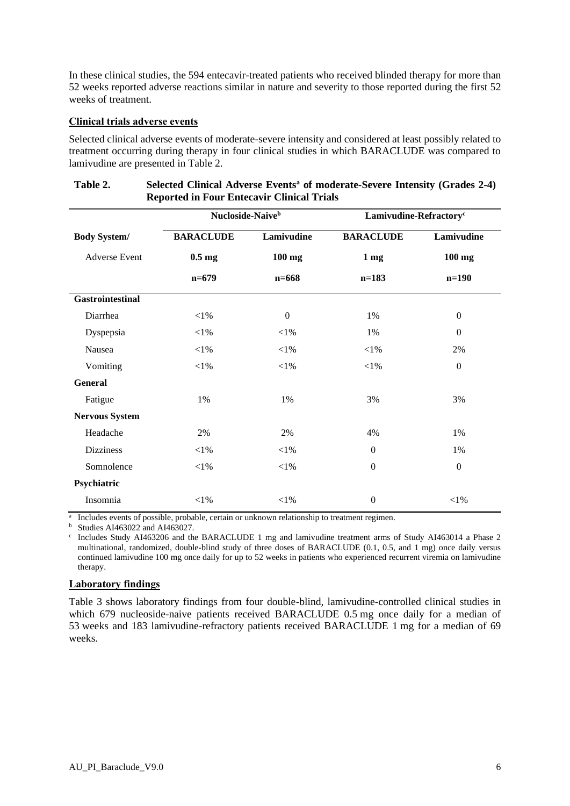In these clinical studies, the 594 entecavir-treated patients who received blinded therapy for more than 52 weeks reported adverse reactions similar in nature and severity to those reported during the first 52 weeks of treatment.

#### **Clinical trials adverse events**

Selected clinical adverse events of moderate-severe intensity and considered at least possibly related to treatment occurring during therapy in four clinical studies in which BARACLUDE was compared to lamivudine are presented in Table 2.

|                         | Nucloside-Naive <sup>b</sup> |                | Lamivudine-Refractory <sup>c</sup>   |                |  |
|-------------------------|------------------------------|----------------|--------------------------------------|----------------|--|
| <b>Body System/</b>     | <b>BARACLUDE</b>             | Lamivudine     | <b>BARACLUDE</b>                     | Lamivudine     |  |
| <b>Adverse Event</b>    | $0.5 \text{ mg}$             | $100$ mg       | 1 <sub>mg</sub>                      | $100$ mg       |  |
|                         | $n=679$                      | $n = 668$      | $n=183$                              | $n=190$        |  |
| <b>Gastrointestinal</b> |                              |                |                                      |                |  |
| Diarrhea                | $<$ 1%                       | $\overline{0}$ | 1%                                   | $\overline{0}$ |  |
| Dyspepsia               | $<$ 1%                       | $<$ 1%         | 1%                                   | $\overline{0}$ |  |
| Nausea                  | $<$ 1%                       | $<$ 1%         | $<$ 1%                               | 2%             |  |
| Vomiting                | $<\!\!1\%$                   | ${<}1\%$       | $<$ 1%                               | $\mathbf{0}$   |  |
| <b>General</b>          |                              |                |                                      |                |  |
| Fatigue                 | 1%                           | 1%             | 3%<br>3%                             |                |  |
| <b>Nervous System</b>   |                              |                |                                      |                |  |
| Headache                | 2%                           | 2%             | 4%                                   | 1%             |  |
| <b>Dizziness</b>        | $<$ 1%                       | $<$ 1%         | $\boldsymbol{0}$                     | 1%             |  |
| Somnolence              | $<\!\!1\%$                   | ${<}1\%$       | $\boldsymbol{0}$<br>$\boldsymbol{0}$ |                |  |
| Psychiatric             |                              |                |                                      |                |  |
| Insomnia                | $<$ 1%                       | $<\!\!1\%$     | $\boldsymbol{0}$                     | $<\!\!1\%$     |  |

#### **Table 2. Selected Clinical Adverse Events<sup>a</sup> of moderate-Severe Intensity (Grades 2-4) Reported in Four Entecavir Clinical Trials**

<sup>a</sup> Includes events of possible, probable, certain or unknown relationship to treatment regimen.

 $<sup>b</sup>$  Studies AI463022 and AI463027.</sup>

c Includes Study AI463206 and the BARACLUDE 1 mg and lamivudine treatment arms of Study AI463014 a Phase 2 multinational, randomized, double-blind study of three doses of BARACLUDE (0.1, 0.5, and 1 mg) once daily versus continued lamivudine 100 mg once daily for up to 52 weeks in patients who experienced recurrent viremia on lamivudine therapy.

#### **Laboratory findings**

Table 3 shows laboratory findings from four double-blind, lamivudine-controlled clinical studies in which 679 nucleoside-naive patients received BARACLUDE 0.5 mg once daily for a median of 53 weeks and 183 lamivudine-refractory patients received BARACLUDE 1 mg for a median of 69 weeks.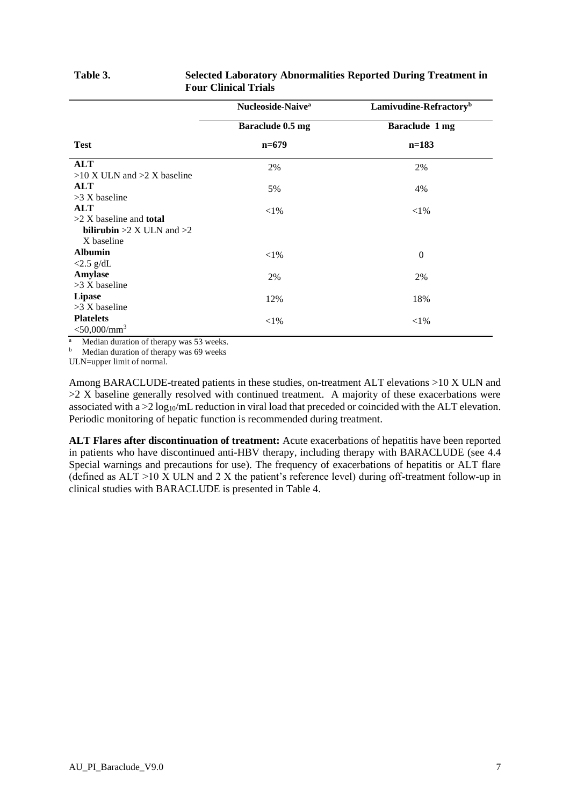|                                      | Nucleoside-Naive <sup>a</sup> | Lamivudine-Refractory <sup>b</sup> |
|--------------------------------------|-------------------------------|------------------------------------|
|                                      | Baraclude 0.5 mg              | Baraclude 1 mg                     |
| <b>Test</b>                          | $n=679$                       | $n=183$                            |
| <b>ALT</b>                           | 2%                            | 2%                                 |
| $>10$ X ULN and $>2$ X baseline      |                               |                                    |
| <b>ALT</b>                           | 5%                            | 4%                                 |
| $>3$ X baseline                      |                               |                                    |
| <b>ALT</b>                           | ${<}1\%$                      | $<$ 1%                             |
| $>2$ X baseline and <b>total</b>     |                               |                                    |
| <b>bilirubin</b> $>2$ X ULN and $>2$ |                               |                                    |
| X baseline                           |                               |                                    |
| <b>Albumin</b>                       | ${<}1\%$                      | $\boldsymbol{0}$                   |
| $<$ 2.5 g/dL                         |                               |                                    |
| Amylase                              | 2%                            | 2%                                 |
| $>3$ X baseline                      |                               |                                    |
| <b>Lipase</b>                        | 12%                           | 18%                                |
| >3 X baseline                        |                               |                                    |
| <b>Platelets</b>                     | ${<}1\%$                      | ${<}1\%$                           |
| $<$ 50,000/mm <sup>3</sup>           |                               |                                    |

#### **Table 3. Selected Laboratory Abnormalities Reported During Treatment in Four Clinical Trials**

 $\overline{a}$  Median duration of therapy was 53 weeks.

b Median duration of therapy was 69 weeks

ULN=upper limit of normal.

Among BARACLUDE-treated patients in these studies, on-treatment ALT elevations >10 X ULN and  $>2$  X baseline generally resolved with continued treatment. A majority of these exacerbations were associated with  $a > 2 \log_{10}/mL$  reduction in viral load that preceded or coincided with the ALT elevation. Periodic monitoring of hepatic function is recommended during treatment.

**ALT Flares after discontinuation of treatment:** Acute exacerbations of hepatitis have been reported in patients who have discontinued anti-HBV therapy, including therapy with BARACLUDE (see 4.4 Special warnings and precautions for use). The frequency of exacerbations of hepatitis or ALT flare (defined as  $ALT > 10 \text{ X } ULN$  and 2 X the patient's reference level) during off-treatment follow-up in clinical studies with BARACLUDE is presented in Table 4.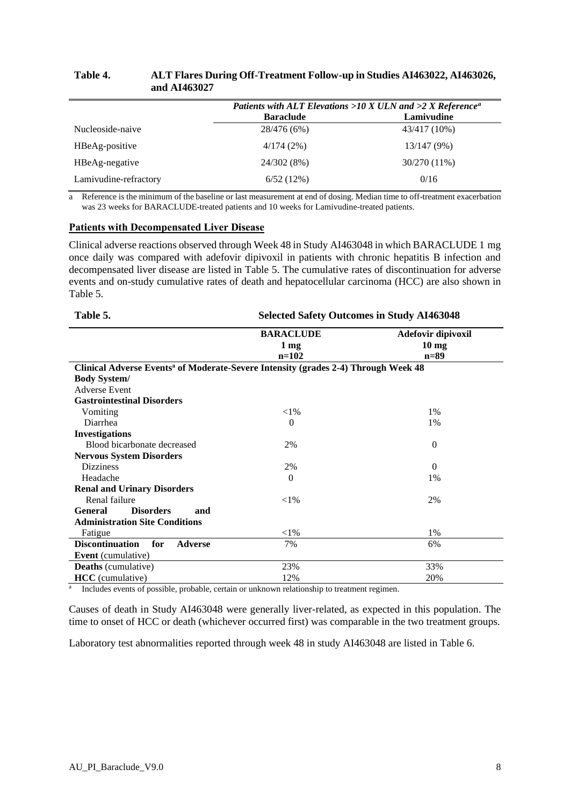| and AI463027     |                  |                                                                                     |
|------------------|------------------|-------------------------------------------------------------------------------------|
|                  |                  | Patients with ALT Elevations >10 X ULN and >2 X Reference <sup><math>a</math></sup> |
|                  | <b>Baraclude</b> | Lamivudine                                                                          |
| Nucleoside-naive | 28/476 (6%)      | 43/417 (10%)                                                                        |
| HBeAg-positive   | 4/174(2%)        | 13/147(9%)                                                                          |

# **Table 4. ALT Flares During Off-Treatment Follow-up in Studies AI463022, AI463026,**

a Reference is the minimum of the baseline or last measurement at end of dosing. Median time to off-treatment exacerbation was 23 weeks for BARACLUDE-treated patients and 10 weeks for Lamivudine-treated patients.

HBeAg-negative 24/302 (8%) 30/270 (11%) Lamivudine-refractory 6/52 (12%) 0/16

#### **Patients with Decompensated Liver Disease**

Clinical adverse reactions observed through Week 48 in Study AI463048 in which BARACLUDE 1 mg once daily was compared with adefovir dipivoxil in patients with chronic hepatitis B infection and decompensated liver disease are listed in Table 5. The cumulative rates of discontinuation for adverse events and on-study cumulative rates of death and hepatocellular carcinoma (HCC) are also shown in Table 5.

| Table 5.                                                                                       | <b>Selected Safety Outcomes in Study AI463048</b> |                                                 |  |  |
|------------------------------------------------------------------------------------------------|---------------------------------------------------|-------------------------------------------------|--|--|
|                                                                                                | <b>BARACLUDE</b><br>$1 \,\mathrm{mg}$<br>$n=102$  | Adefovir dipivoxil<br>$10 \text{ mg}$<br>$n=89$ |  |  |
| Clinical Adverse Events <sup>a</sup> of Moderate-Severe Intensity (grades 2-4) Through Week 48 |                                                   |                                                 |  |  |
| <b>Body System/</b>                                                                            |                                                   |                                                 |  |  |
| <b>Adverse Event</b>                                                                           |                                                   |                                                 |  |  |
| <b>Gastrointestinal Disorders</b>                                                              |                                                   |                                                 |  |  |
| Vomiting                                                                                       | ${<}1\%$                                          | $1\%$                                           |  |  |
| Diarrhea                                                                                       | $\Omega$                                          | 1%                                              |  |  |
| <b>Investigations</b>                                                                          |                                                   |                                                 |  |  |
| Blood bicarbonate decreased                                                                    | 2%                                                | $\mathbf{0}$                                    |  |  |
| <b>Nervous System Disorders</b>                                                                |                                                   |                                                 |  |  |
| <b>Dizziness</b>                                                                               | 2%                                                | $\Omega$                                        |  |  |
| Headache                                                                                       | $\theta$                                          | 1%                                              |  |  |
| <b>Renal and Urinary Disorders</b>                                                             |                                                   |                                                 |  |  |
| Renal failure                                                                                  | ${<}1\%$                                          | 2%                                              |  |  |
| <b>General</b><br><b>Disorders</b><br>and                                                      |                                                   |                                                 |  |  |
| <b>Administration Site Conditions</b>                                                          |                                                   |                                                 |  |  |
| Fatigue                                                                                        | $<$ l $%$                                         | 1%                                              |  |  |
| <b>Discontinuation</b><br>for<br><b>Adverse</b>                                                | 7%                                                | 6%                                              |  |  |
| <b>Event</b> (cumulative)                                                                      |                                                   |                                                 |  |  |
| <b>Deaths</b> (cumulative)                                                                     | 23%                                               | 33%                                             |  |  |
| <b>HCC</b> (cumulative)                                                                        | 12%                                               | 20%                                             |  |  |

a Includes events of possible, probable, certain or unknown relationship to treatment regimen.

Causes of death in Study AI463048 were generally liver-related, as expected in this population. The time to onset of HCC or death (whichever occurred first) was comparable in the two treatment groups.

Laboratory test abnormalities reported through week 48 in study AI463048 are listed in Table 6.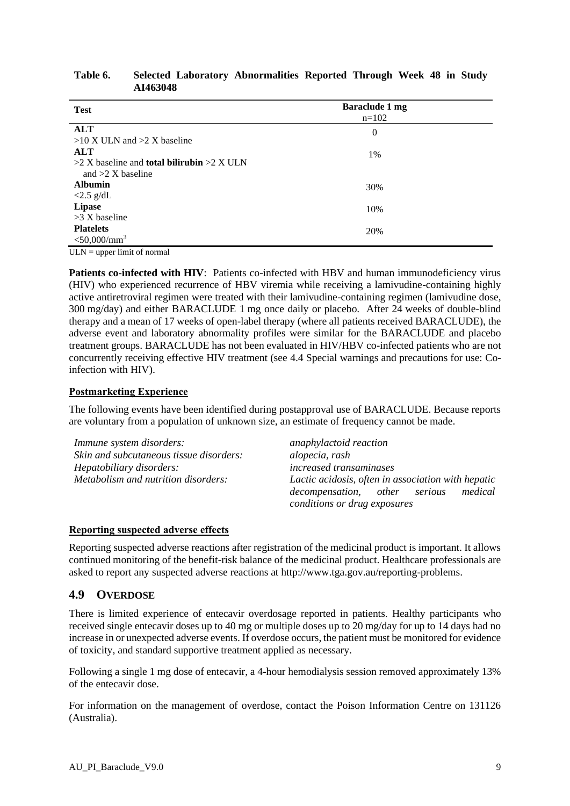#### **Table 6. Selected Laboratory Abnormalities Reported Through Week 48 in Study AI463048**

| <b>Test</b>                                           | <b>Baraclude 1 mg</b><br>$n=102$ |
|-------------------------------------------------------|----------------------------------|
| <b>ALT</b>                                            | $\mathbf{0}$                     |
| $>10$ X ULN and $>2$ X baseline                       |                                  |
| <b>ALT</b>                                            | 1%                               |
| $>2$ X baseline and <b>total bilirubin</b> $>2$ X ULN |                                  |
| and $>2$ X baseline                                   |                                  |
| <b>Albumin</b>                                        | 30%                              |
| $\langle 2.5 \text{ g/dL} \rangle$                    |                                  |
| <b>Lipase</b>                                         | 10%                              |
| $>3$ X baseline                                       |                                  |
| <b>Platelets</b>                                      | 20%                              |
| $<$ 50,000/mm <sup>3</sup>                            |                                  |

 $ULN = upper limit of normal$ 

**Patients co-infected with HIV**: Patients co-infected with HBV and human immunodeficiency virus (HIV) who experienced recurrence of HBV viremia while receiving a lamivudine-containing highly active antiretroviral regimen were treated with their lamivudine-containing regimen (lamivudine dose, 300 mg/day) and either BARACLUDE 1 mg once daily or placebo. After 24 weeks of double-blind therapy and a mean of 17 weeks of open-label therapy (where all patients received BARACLUDE), the adverse event and laboratory abnormality profiles were similar for the BARACLUDE and placebo treatment groups. BARACLUDE has not been evaluated in HIV/HBV co-infected patients who are not concurrently receiving effective HIV treatment (see 4.4 Special warnings and precautions for use: Coinfection with HIV).

#### **Postmarketing Experience**

The following events have been identified during postapproval use of BARACLUDE. Because reports are voluntary from a population of unknown size, an estimate of frequency cannot be made.

| Immune system disorders:                | anaphylactoid reaction                             |
|-----------------------------------------|----------------------------------------------------|
| Skin and subcutaneous tissue disorders: | alopecia, rash                                     |
| Hepatobiliary disorders:                | <i>increased transaminases</i>                     |
| Metabolism and nutrition disorders:     | Lactic acidosis, often in association with hepatic |
|                                         | decompensation, other serious<br>medical           |
|                                         | conditions or drug exposures                       |

#### **Reporting suspected adverse effects**

Reporting suspected adverse reactions after registration of the medicinal product is important. It allows continued monitoring of the benefit-risk balance of the medicinal product. Healthcare professionals are asked to report any suspected adverse reactions at http://www.tga.gov.au/reporting-problems.

# **4.9 OVERDOSE**

There is limited experience of entecavir overdosage reported in patients. Healthy participants who received single entecavir doses up to 40 mg or multiple doses up to 20 mg/day for up to 14 days had no increase in or unexpected adverse events. If overdose occurs, the patient must be monitored for evidence of toxicity, and standard supportive treatment applied as necessary.

Following a single 1 mg dose of entecavir, a 4-hour hemodialysis session removed approximately 13% of the entecavir dose.

For information on the management of overdose, contact the Poison Information Centre on 131126 (Australia).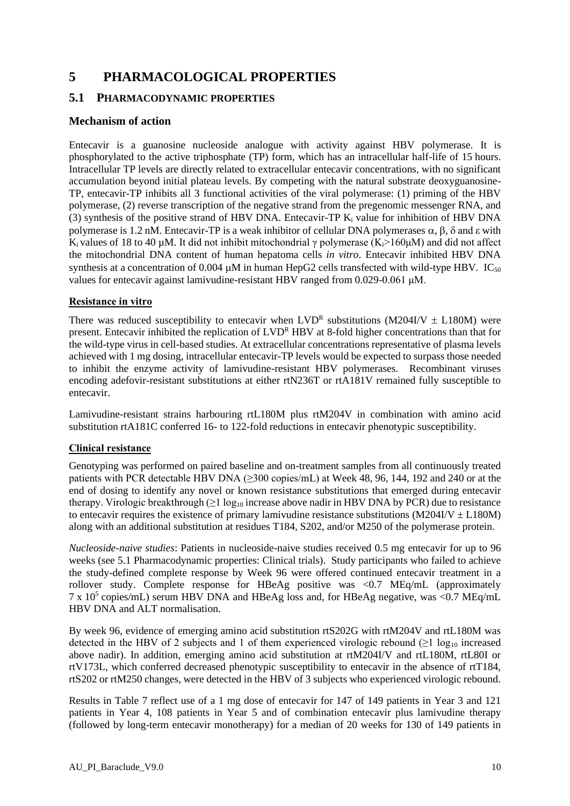# **5 PHARMACOLOGICAL PROPERTIES**

## **5.1 PHARMACODYNAMIC PROPERTIES**

# **Mechanism of action**

Entecavir is a guanosine nucleoside analogue with activity against HBV polymerase. It is phosphorylated to the active triphosphate (TP) form, which has an intracellular half-life of 15 hours. Intracellular TP levels are directly related to extracellular entecavir concentrations, with no significant accumulation beyond initial plateau levels. By competing with the natural substrate deoxyguanosine-TP, entecavir-TP inhibits all 3 functional activities of the viral polymerase: (1) priming of the HBV polymerase, (2) reverse transcription of the negative strand from the pregenomic messenger RNA, and (3) synthesis of the positive strand of HBV DNA. Entecavir-TP  $K_i$  value for inhibition of HBV DNA polymerase is 1.2 nM. Entecavir-TP is a weak inhibitor of cellular DNA polymerases  $\alpha$ ,  $\beta$ ,  $\delta$  and  $\epsilon$  with K<sub>i</sub> values of 18 to 40 µM. It did not inhibit mitochondrial  $\gamma$  polymerase (K<sub>i</sub>>160µM) and did not affect the mitochondrial DNA content of human hepatoma cells *in vitro*. Entecavir inhibited HBV DNA synthesis at a concentration of 0.004  $\mu$ M in human HepG2 cells transfected with wild-type HBV. IC<sub>50</sub> values for entecavir against lamivudine-resistant HBV ranged from 0.029-0.061 μM.

#### **Resistance in vitro**

There was reduced susceptibility to entecavir when  $LVD^R$  substitutions (M204I/V  $\pm$  L180M) were present. Entecavir inhibited the replication of LVD<sup>R</sup> HBV at 8-fold higher concentrations than that for the wild-type virus in cell-based studies. At extracellular concentrations representative of plasma levels achieved with 1 mg dosing, intracellular entecavir-TP levels would be expected to surpass those needed to inhibit the enzyme activity of lamivudine-resistant HBV polymerases. Recombinant viruses encoding adefovir-resistant substitutions at either rtN236T or rtA181V remained fully susceptible to entecavir.

Lamivudine-resistant strains harbouring rtL180M plus rtM204V in combination with amino acid substitution rtA181C conferred 16- to 122-fold reductions in entecavir phenotypic susceptibility.

#### **Clinical resistance**

Genotyping was performed on paired baseline and on-treatment samples from all continuously treated patients with PCR detectable HBV DNA (≥300 copies/mL) at Week 48, 96, 144, 192 and 240 or at the end of dosing to identify any novel or known resistance substitutions that emerged during entecavir therapy. Virologic breakthrough  $(≥1 \log_{10}$  increase above nadir in HBV DNA by PCR) due to resistance to entecavir requires the existence of primary lamivudine resistance substitutions (M204I/V  $\pm$  L180M) along with an additional substitution at residues T184, S202, and/or M250 of the polymerase protein.

*Nucleoside-naive studies*: Patients in nucleoside-naive studies received 0.5 mg entecavir for up to 96 weeks (see 5.1 Pharmacodynamic properties: Clinical trials). Study participants who failed to achieve the study-defined complete response by Week 96 were offered continued entecavir treatment in a rollover study. Complete response for HBeAg positive was <0.7 MEq/mL (approximately  $7 \times 10^5$  copies/mL) serum HBV DNA and HBeAg loss and, for HBeAg negative, was <0.7 MEq/mL HBV DNA and ALT normalisation.

By week 96, evidence of emerging amino acid substitution rtS202G with rtM204V and rtL180M was detected in the HBV of 2 subjects and 1 of them experienced virologic rebound ( $\geq 1 \log_{10}$  increased above nadir). In addition, emerging amino acid substitution at rtM204I/V and rtL180M, rtL80I or rtV173L, which conferred decreased phenotypic susceptibility to entecavir in the absence of rtT184, rtS202 or rtM250 changes, were detected in the HBV of 3 subjects who experienced virologic rebound.

Results in Table 7 reflect use of a 1 mg dose of entecavir for 147 of 149 patients in Year 3 and 121 patients in Year 4, 108 patients in Year 5 and of combination entecavir plus lamivudine therapy (followed by long-term entecavir monotherapy) for a median of 20 weeks for 130 of 149 patients in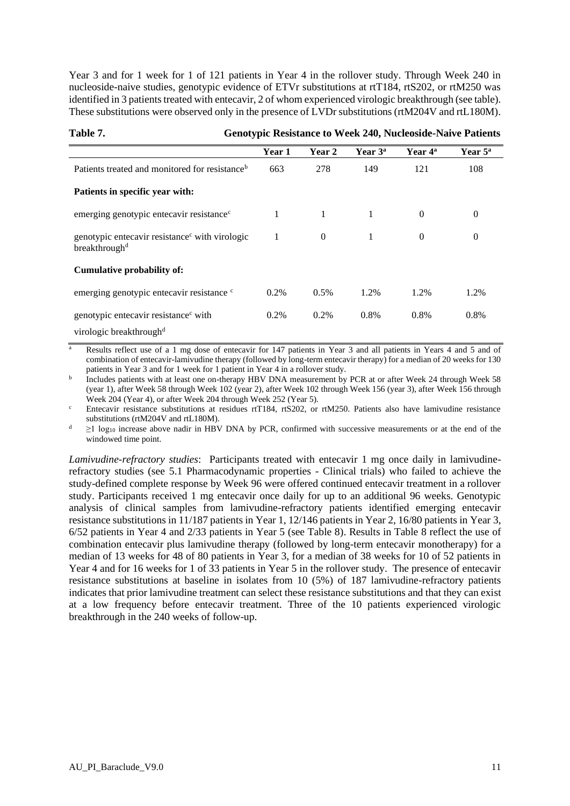Year 3 and for 1 week for 1 of 121 patients in Year 4 in the rollover study. Through Week 240 in nucleoside-naive studies, genotypic evidence of ETVr substitutions at rtT184, rtS202, or rtM250 was identified in 3 patients treated with entecavir, 2 of whom experienced virologic breakthrough (see table). These substitutions were observed only in the presence of LVDr substitutions (rtM204V and rtL180M).

|                                                                                         | Year 1  | Year 2       | Year $3^a$ | Year 4 <sup>a</sup> | Year $5^{\circ}$ |
|-----------------------------------------------------------------------------------------|---------|--------------|------------|---------------------|------------------|
| Patients treated and monitored for resistance <sup>b</sup>                              | 663     | 278          | 149        | 121                 | 108              |
| Patients in specific year with:                                                         |         |              |            |                     |                  |
| emerging genotypic entecavir resistance <sup>c</sup>                                    | 1       | $\mathbf{1}$ | 1          | $\Omega$            | $\overline{0}$   |
| genotypic entecavir resistance with virologic<br>breakthrough <sup>d</sup>              | 1       | $\Omega$     | 1          | $\Omega$            | $\overline{0}$   |
| Cumulative probability of:                                                              |         |              |            |                     |                  |
| emerging genotypic entecavir resistance c                                               | $0.2\%$ | 0.5%         | 1.2%       | 1.2%                | 1.2%             |
| genotypic entecavir resistance <sup>c</sup> with<br>virologic breakthrough <sup>d</sup> | 0.2%    | 0.2%         | 0.8%       | 0.8%                | 0.8%             |

## **Table 7. Genotypic Resistance to Week 240, Nucleoside-Naive Patients**

<sup>a</sup> Results reflect use of a 1 mg dose of entecavir for 147 patients in Year 3 and all patients in Years 4 and 5 and of combination of entecavir-lamivudine therapy (followed by long-term entecavir therapy) for a median of 20 weeks for 130 patients in Year 3 and for 1 week for 1 patient in Year 4 in a rollover study.

b Includes patients with at least one on-therapy HBV DNA measurement by PCR at or after Week 24 through Week 58 (year 1), after Week 58 through Week 102 (year 2), after Week 102 through Week 156 (year 3), after Week 156 through Week 204 (Year 4), or after Week 204 through Week 252 (Year 5).

 $c$  Entecavir resistance substitutions at residues rtT184, rtS202, or rtM250. Patients also have lamivudine resistance substitutions (rtM204V and rtL180M).

 $\geq$ 1 log<sub>10</sub> increase above nadir in HBV DNA by PCR, confirmed with successive measurements or at the end of the windowed time point.

*Lamivudine-refractory studies*: Participants treated with entecavir 1 mg once daily in lamivudinerefractory studies (see 5.1 Pharmacodynamic properties - Clinical trials) who failed to achieve the study-defined complete response by Week 96 were offered continued entecavir treatment in a rollover study. Participants received 1 mg entecavir once daily for up to an additional 96 weeks. Genotypic analysis of clinical samples from lamivudine-refractory patients identified emerging entecavir resistance substitutions in 11/187 patients in Year 1, 12/146 patients in Year 2, 16/80 patients in Year 3, 6/52 patients in Year 4 and 2/33 patients in Year 5 (see Table 8). Results in Table 8 reflect the use of combination entecavir plus lamivudine therapy (followed by long-term entecavir monotherapy) for a median of 13 weeks for 48 of 80 patients in Year 3, for a median of 38 weeks for 10 of 52 patients in Year 4 and for 16 weeks for 1 of 33 patients in Year 5 in the rollover study. The presence of entecavir resistance substitutions at baseline in isolates from 10 (5%) of 187 lamivudine-refractory patients indicates that prior lamivudine treatment can select these resistance substitutions and that they can exist at a low frequency before entecavir treatment. Three of the 10 patients experienced virologic breakthrough in the 240 weeks of follow-up.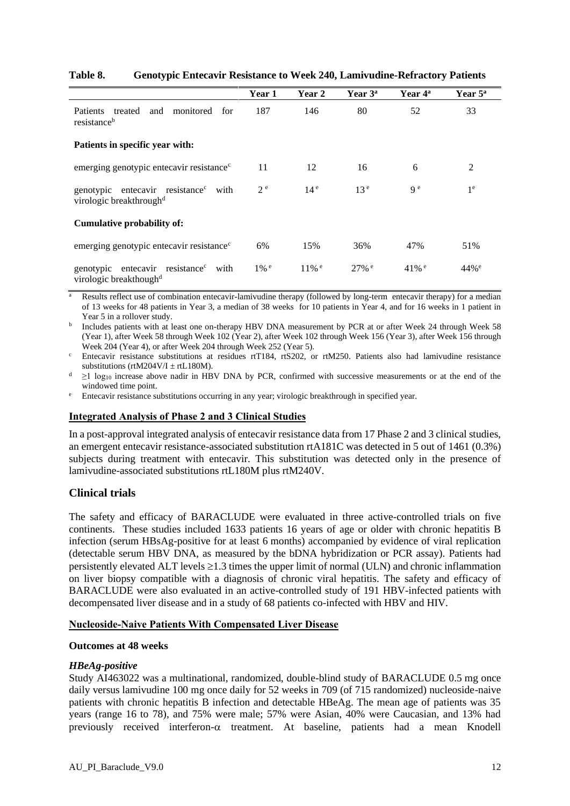|                                                                                           | Year 1             | Year 2              | Year 3 <sup>a</sup> | Year 4 <sup>a</sup> | Year $5^{\mathrm{a}}$ |
|-------------------------------------------------------------------------------------------|--------------------|---------------------|---------------------|---------------------|-----------------------|
| treated<br>and monitored for<br><b>Patients</b><br>resistance <sup>b</sup>                | 187                | 146                 | 80                  | 52                  | 33                    |
| Patients in specific year with:                                                           |                    |                     |                     |                     |                       |
| emerging genotypic entecavir resistance <sup>c</sup>                                      | 11                 | 12                  | 16                  | 6                   | 2                     |
| genotypic entecavir resistance <sup>c</sup> with<br>virologic breakthrough <sup>d</sup>   | 2 <sup>e</sup>     | 14 <sup>e</sup>     | 13 <sup>e</sup>     | q e                 | 1 <sup>e</sup>        |
| Cumulative probability of:                                                                |                    |                     |                     |                     |                       |
| emerging genotypic entecavir resistance <sup>c</sup>                                      | 6%                 | 15%                 | 36%                 | 47%                 | 51%                   |
| genotypic entecavir resistance <sup>c</sup><br>with<br>virologic breakthough <sup>d</sup> | $1\%$ <sup>e</sup> | $11\%$ <sup>e</sup> | $27\%$ <sup>e</sup> | $41\%$ <sup>e</sup> | $44%^e$               |

#### **Table 8. Genotypic Entecavir Resistance to Week 240, Lamivudine-Refractory Patients**

<sup>a</sup> Results reflect use of combination entecavir-lamivudine therapy (followed by long-term entecavir therapy) for a median of 13 weeks for 48 patients in Year 3, a median of 38 weeks for 10 patients in Year 4, and for 16 weeks in 1 patient in Year 5 in a rollover study.

<sup>b</sup> Includes patients with at least one on-therapy HBV DNA measurement by PCR at or after Week 24 through Week 58 (Year 1), after Week 58 through Week 102 (Year 2), after Week 102 through Week 156 (Year 3), after Week 156 through Week 204 (Year 4), or after Week 204 through Week 252 (Year 5).

<sup>c</sup> Entecavir resistance substitutions at residues rtT184, rtS202, or rtM250. Patients also had lamivudine resistance substitutions (rtM204V/I  $\pm$  rtL180M).

 $d \geq 1$  log<sub>10</sub> increase above nadir in HBV DNA by PCR, confirmed with successive measurements or at the end of the windowed time point.

<sup>e</sup> Entecavir resistance substitutions occurring in any year; virologic breakthrough in specified year.

#### **Integrated Analysis of Phase 2 and 3 Clinical Studies**

In a post-approval integrated analysis of entecavir resistance data from 17 Phase 2 and 3 clinical studies, an emergent entecavir resistance-associated substitution rtA181C was detected in 5 out of 1461 (0.3%) subjects during treatment with entecavir. This substitution was detected only in the presence of lamivudine-associated substitutions rtL180M plus rtM240V.

#### **Clinical trials**

The safety and efficacy of BARACLUDE were evaluated in three active-controlled trials on five continents. These studies included 1633 patients 16 years of age or older with chronic hepatitis B infection (serum HBsAg-positive for at least 6 months) accompanied by evidence of viral replication (detectable serum HBV DNA, as measured by the bDNA hybridization or PCR assay). Patients had persistently elevated ALT levels  $\geq 1.3$  times the upper limit of normal (ULN) and chronic inflammation on liver biopsy compatible with a diagnosis of chronic viral hepatitis. The safety and efficacy of BARACLUDE were also evaluated in an active-controlled study of 191 HBV-infected patients with decompensated liver disease and in a study of 68 patients co-infected with HBV and HIV.

#### **Nucleoside-Naive Patients With Compensated Liver Disease**

#### **Outcomes at 48 weeks**

#### *HBeAg-positive*

Study AI463022 was a multinational, randomized, double-blind study of BARACLUDE 0.5 mg once daily versus lamivudine 100 mg once daily for 52 weeks in 709 (of 715 randomized) nucleoside-naive patients with chronic hepatitis B infection and detectable HBeAg. The mean age of patients was 35 years (range 16 to 78), and 75% were male; 57% were Asian, 40% were Caucasian, and 13% had previously received interferon- $\alpha$  treatment. At baseline, patients had a mean Knodell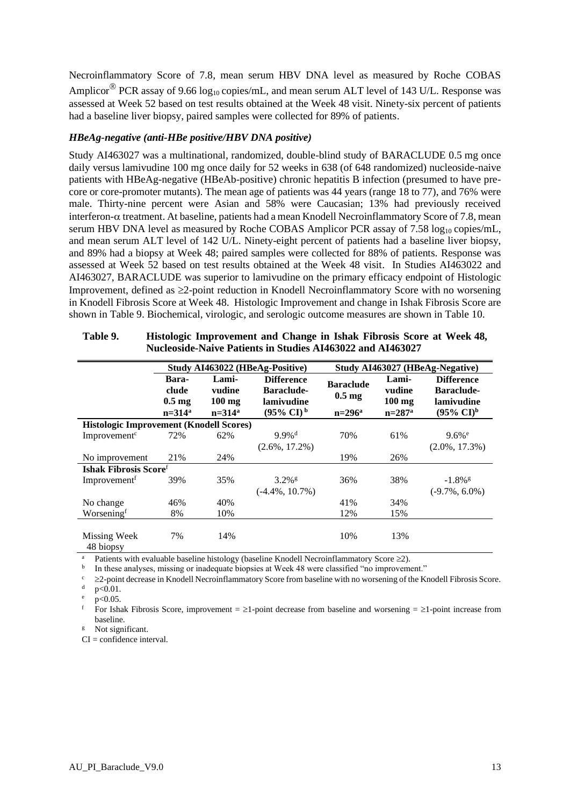Necroinflammatory Score of 7.8, mean serum HBV DNA level as measured by Roche COBAS Amplicor<sup>®</sup> PCR assay of 9.66 log<sub>10</sub> copies/mL, and mean serum ALT level of 143 U/L. Response was assessed at Week 52 based on test results obtained at the Week 48 visit. Ninety-six percent of patients had a baseline liver biopsy, paired samples were collected for 89% of patients.

#### *HBeAg-negative (anti-HBe positive/HBV DNA positive)*

Study AI463027 was a multinational, randomized, double-blind study of BARACLUDE 0.5 mg once daily versus lamivudine 100 mg once daily for 52 weeks in 638 (of 648 randomized) nucleoside-naive patients with HBeAg-negative (HBeAb-positive) chronic hepatitis B infection (presumed to have precore or core-promoter mutants). The mean age of patients was 44 years (range 18 to 77), and 76% were male. Thirty-nine percent were Asian and 58% were Caucasian; 13% had previously received interferon- $\alpha$  treatment. At baseline, patients had a mean Knodell Necroinflammatory Score of 7.8, mean serum HBV DNA level as measured by Roche COBAS Amplicor PCR assay of 7.58  $log_{10}$  copies/mL, and mean serum ALT level of 142 U/L. Ninety-eight percent of patients had a baseline liver biopsy, and 89% had a biopsy at Week 48; paired samples were collected for 88% of patients. Response was assessed at Week 52 based on test results obtained at the Week 48 visit. In Studies AI463022 and AI463027, BARACLUDE was superior to lamivudine on the primary efficacy endpoint of Histologic Improvement, defined as  $\geq 2$ -point reduction in Knodell Necroinflammatory Score with no worsening in Knodell Fibrosis Score at Week 48. Histologic Improvement and change in Ishak Fibrosis Score are shown in Table 9. Biochemical, virologic, and serologic outcome measures are shown in Table 10.

|                                                | Study AI463022 (HBeAg-Positive)                   |                                                  |                                                                                        | Study AI463027 (HBeAg-Negative)                     |                                                  |                                                                               |
|------------------------------------------------|---------------------------------------------------|--------------------------------------------------|----------------------------------------------------------------------------------------|-----------------------------------------------------|--------------------------------------------------|-------------------------------------------------------------------------------|
|                                                | Bara-<br>clude<br>$0.5 \text{ mg}$<br>$n = 314^a$ | Lami-<br>vudine<br>$100 \text{ mg}$<br>$n=314^a$ | <b>Difference</b><br><b>Baraclude-</b><br>lamivudine<br>$(95\% \text{ CI})^{\text{b}}$ | <b>Baraclude</b><br>$0.5 \text{ mg}$<br>$n = 296^a$ | Lami-<br>vudine<br>$100$ mg<br>$n = 287^{\circ}$ | <b>Difference</b><br><b>Baraclude-</b><br>lamivudine<br>$(95\% \text{ CI})^b$ |
| <b>Histologic Improvement (Knodell Scores)</b> |                                                   |                                                  |                                                                                        |                                                     |                                                  |                                                                               |
| Improvement <sup>c</sup>                       | 72%                                               | 62%                                              | $9.9\%$ <sup>d</sup><br>$(2.6\%, 17.2\%)$                                              | 70%                                                 | 61%                                              | $9.6%$ <sup>e</sup><br>$(2.0\%, 17.3\%)$                                      |
| No improvement                                 | 21%                                               | 24%                                              |                                                                                        | 19%                                                 | 26%                                              |                                                                               |
| Ishak Fibrosis Score <sup>f</sup>              |                                                   |                                                  |                                                                                        |                                                     |                                                  |                                                                               |
| Improvement <sup>t</sup>                       | 39%                                               | 35%                                              | $3.2\%$ <sup>g</sup><br>$(-4.4\%, 10.7\%)$                                             | 36%                                                 | 38%                                              | $-1.8\%$ <sup>g</sup><br>$(-9.7\%, 6.0\%)$                                    |
| No change                                      | 46%                                               | 40%                                              |                                                                                        | 41%                                                 | 34%                                              |                                                                               |
| Worseningf                                     | 8%                                                | 10%                                              |                                                                                        | 12%                                                 | 15%                                              |                                                                               |
| Missing Week<br>48 biopsy                      | 7%                                                | 14%                                              |                                                                                        | 10%                                                 | 13%                                              |                                                                               |

| Table 9. | Histologic Improvement and Change in Ishak Fibrosis Score at Week 48, |
|----------|-----------------------------------------------------------------------|
|          | Nucleoside-Naive Patients in Studies AI463022 and AI463027            |

Patients with evaluable baseline histology (baseline Knodell Necroinflammatory Score  $\geq 2$ ).

b In these analyses, missing or inadequate biopsies at Week 48 were classified "no improvement."

 $\geq$ 2-point decrease in Knodell Necroinflammatory Score from baseline with no worsening of the Knodell Fibrosis Score.  $p < 0.01$ .

 $p < 0.05$ .

For Ishak Fibrosis Score, improvement =  $\geq$ 1-point decrease from baseline and worsening =  $\geq$ 1-point increase from baseline.

Not significant.

 $CI = confidence$  interval.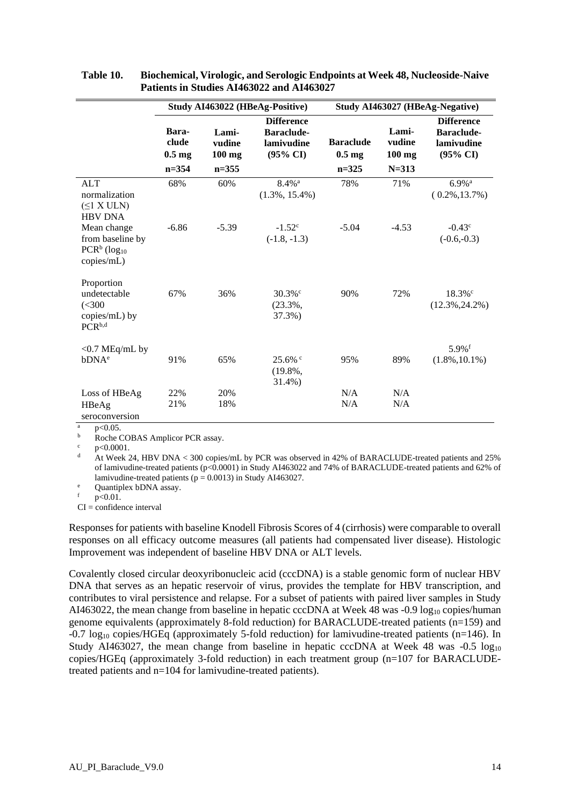|                                                                              | Study AI463022 (HBeAg-Positive)                 |                                          |                                                                      | Study AI463027 (HBeAg-Negative)                   |                                          |                                                                             |  |
|------------------------------------------------------------------------------|-------------------------------------------------|------------------------------------------|----------------------------------------------------------------------|---------------------------------------------------|------------------------------------------|-----------------------------------------------------------------------------|--|
|                                                                              | Bara-<br>clude<br>$0.5 \text{ mg}$<br>$n = 354$ | Lami-<br>vudine<br>$100$ mg<br>$n = 355$ | <b>Difference</b><br>Baraclude-<br>lamivudine<br>$(95\% \text{ CI})$ | <b>Baraclude</b><br>$0.5 \text{ mg}$<br>$n = 325$ | Lami-<br>vudine<br>$100$ mg<br>$N = 313$ | <b>Difference</b><br><b>Baraclude-</b><br>lamivudine<br>$(95\% \text{ CI})$ |  |
| <b>ALT</b><br>normalization<br>$(\leq 1$ X ULN)<br><b>HBV DNA</b>            | 68%                                             | 60%                                      | $8.4\%$ <sup>a</sup><br>$(1.3\%, 15.4\%)$                            | 78%                                               | 71%                                      | $6.9\%$ <sup>a</sup><br>$(0.2\%, 13.7\%)$                                   |  |
| Mean change<br>from baseline by<br>$PCRb$ (log <sub>10</sub> )<br>copies/mL) | $-6.86$                                         | $-5.39$                                  | $-1.52^{\circ}$<br>$(-1.8, -1.3)$                                    | $-5.04$                                           | $-4.53$                                  | $-0.43^{\circ}$<br>$(-0.6,-0.3)$                                            |  |
| Proportion<br>undetectable<br>(< 300<br>copies/mL) by<br>PCR <sup>b,d</sup>  | 67%                                             | 36%                                      | $30.3\%$ °<br>$(23.3\%$ ,<br>37.3%)                                  | 90%                                               | 72%                                      | $18.3\%$ °<br>$(12.3\%, 24.2\%)$                                            |  |
| $<$ 0.7 MEq/mL by<br>bDNA <sup>e</sup>                                       | 91%                                             | 65%                                      | $25.6\%$<br>$(19.8\%$<br>31.4%)                                      | 95%                                               | 89%                                      | $5.9%$ <sup>f</sup><br>$(1.8\%, 10.1\%)$                                    |  |
| Loss of HBeAg<br>HBeAg<br>seroconversion                                     | 22%<br>21%                                      | 20%<br>18%                               |                                                                      | N/A<br>N/A                                        | N/A<br>N/A                               |                                                                             |  |

**Table 10. Biochemical, Virologic, and Serologic Endpoints at Week 48, Nucleoside-Naive Patients in Studies AI463022 and AI463027**

 $\frac{a}{b}$  p<0.05.

 $\frac{b}{c}$  Roche COBAS Amplicor PCR assay.

 $p<0.0001$ .

<sup>d</sup> At Week 24, HBV DNA < 300 copies/mL by PCR was observed in 42% of BARACLUDE-treated patients and 25% of lamivudine-treated patients (p<0.0001) in Study AI463022 and 74% of BARACLUDE-treated patients and 62% of lamivudine-treated patients ( $p = 0.0013$ ) in Study AI463027.

e Quantiplex bDNA assay.

 $p < 0.01$ .

CI = confidence interval

Responses for patients with baseline Knodell Fibrosis Scores of 4 (cirrhosis) were comparable to overall responses on all efficacy outcome measures (all patients had compensated liver disease). Histologic Improvement was independent of baseline HBV DNA or ALT levels.

Covalently closed circular deoxyribonucleic acid (cccDNA) is a stable genomic form of nuclear HBV DNA that serves as an hepatic reservoir of virus, provides the template for HBV transcription, and contributes to viral persistence and relapse. For a subset of patients with paired liver samples in Study AI463022, the mean change from baseline in hepatic cccDNA at Week 48 was -0.9 log<sub>10</sub> copies/human genome equivalents (approximately 8-fold reduction) for BARACLUDE-treated patients (n=159) and  $-0.7 \log_{10}$  copies/HGEq (approximately 5-fold reduction) for lamivudine-treated patients (n=146). In Study AI463027, the mean change from baseline in hepatic cccDNA at Week 48 was  $-0.5 \log_{10}$ copies/HGEq (approximately 3-fold reduction) in each treatment group (n=107 for BARACLUDEtreated patients and n=104 for lamivudine-treated patients).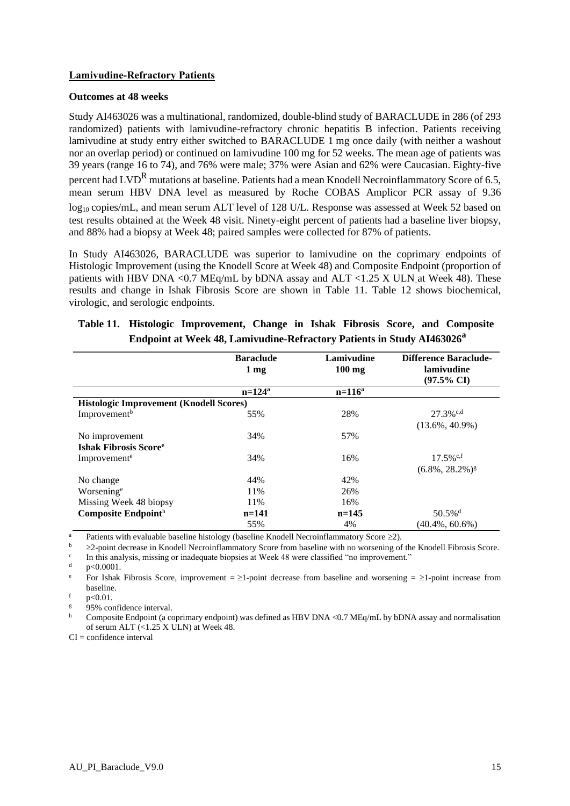#### **Lamivudine-Refractory Patients**

#### **Outcomes at 48 weeks**

Study AI463026 was a multinational, randomized, double-blind study of BARACLUDE in 286 (of 293 randomized) patients with lamivudine-refractory chronic hepatitis B infection. Patients receiving lamivudine at study entry either switched to BARACLUDE 1 mg once daily (with neither a washout nor an overlap period) or continued on lamivudine 100 mg for 52 weeks. The mean age of patients was 39 years (range 16 to 74), and 76% were male; 37% were Asian and 62% were Caucasian. Eighty-five percent had  $LVD^R$  mutations at baseline. Patients had a mean Knodell Necroinflammatory Score of 6.5, mean serum HBV DNA level as measured by Roche COBAS Amplicor PCR assay of 9.36 log<sub>10</sub> copies/mL, and mean serum ALT level of 128 U/L. Response was assessed at Week 52 based on test results obtained at the Week 48 visit. Ninety-eight percent of patients had a baseline liver biopsy, and 88% had a biopsy at Week 48; paired samples were collected for 87% of patients.

In Study AI463026, BARACLUDE was superior to lamivudine on the coprimary endpoints of Histologic Improvement (using the Knodell Score at Week 48) and Composite Endpoint (proportion of patients with HBV DNA < $0.7$  MEq/mL by bDNA assay and ALT < $1.25$  X ULN at Week 48). These results and change in Ishak Fibrosis Score are shown in Table 11. Table 12 shows biochemical, virologic, and serologic endpoints.

|                                                | <b>Baraclude</b> | Lamivudine | <b>Difference Baraclude-</b>   |
|------------------------------------------------|------------------|------------|--------------------------------|
|                                                | $1 \text{ mg}$   | $100$ mg   | lamivudine                     |
|                                                |                  |            | $(97.5\% \text{ CI})$          |
|                                                | $n=124^a$        | $n=116^a$  |                                |
| <b>Histologic Improvement (Knodell Scores)</b> |                  |            |                                |
| Improvement <sup>b</sup>                       | 55%              | 28%        | $27.3\%$ <sup>c,d</sup>        |
|                                                |                  |            | $(13.6\%, 40.9\%)$             |
| No improvement                                 | 34%              | 57%        |                                |
| <b>Ishak Fibrosis Score</b> <sup>e</sup>       |                  |            |                                |
| Improvement <sup>e</sup>                       | 34%              | 16%        | $17.5\%$ <sup>c,f</sup>        |
|                                                |                  |            | $(6.8\%, 28.2\%)$ <sup>g</sup> |
| No change                                      | 44%              | 42%        |                                |
| Worsening <sup>e</sup>                         | 11%              | 26%        |                                |
| Missing Week 48 biopsy                         | 11%              | 16%        |                                |
| Composite Endpointh                            | $n=141$          | $n=145$    | $50.5\%$ <sup>d</sup>          |
|                                                | 55%              | 4%         | $(40.4\%, 60.6\%)$             |

# **Table 11. Histologic Improvement, Change in Ishak Fibrosis Score, and Composite Endpoint at Week 48, Lamivudine-Refractory Patients in Study AI463026<sup>a</sup>**

<sup>a</sup> Patients with evaluable baseline histology (baseline Knodell Necroinflammatory Score  $\geq$ ).<br>  $\frac{b}{2}$  and degrees in Knodell Necroinflammatory Seem baseline with no vecessing of

 $\geq$ 2-point decrease in Knodell Necroinflammatory Score from baseline with no worsening of the Knodell Fibrosis Score. c

In this analysis, missing or inadequate biopsies at Week 48 were classified "no improvement."

 $d = p < 0.0001$ .

<sup>e</sup> For Ishak Fibrosis Score, improvement =  $\geq$ 1-point decrease from baseline and worsening =  $\geq$ 1-point increase from baseline.

 $f$  p<0.01.

95% confidence interval.

Composite Endpoint (a coprimary endpoint) was defined as HBV DNA <0.7 MEq/mL by bDNA assay and normalisation of serum ALT  $($ <1.25 X ULN) at Week 48.

 $CI =$  confidence interval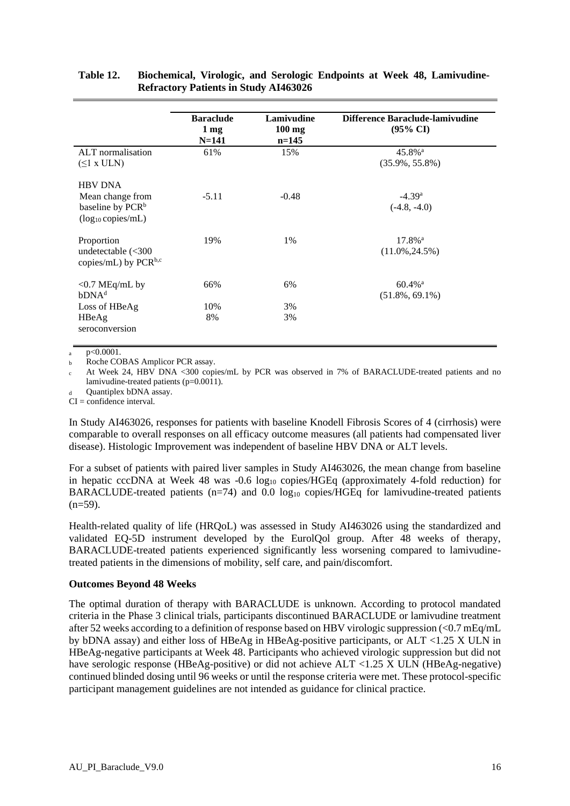|                                                                                              | <b>Baraclude</b><br>1 <sub>mg</sub><br>$N = 141$ | <b>Lamivudine</b><br>$100$ mg<br>$n=145$ | Difference Baraclude-lamivudine<br>$(95\% \text{ CI})$ |
|----------------------------------------------------------------------------------------------|--------------------------------------------------|------------------------------------------|--------------------------------------------------------|
| ALT normalisation<br>$(\leq 1$ x ULN)                                                        | 61%                                              | 15%                                      | $45.8\%$ <sup>a</sup><br>$(35.9\%, 55.8\%)$            |
| <b>HBV DNA</b><br>Mean change from<br>baseline by PCR <sup>b</sup><br>$(log_{10} copies/mL)$ | $-5.11$                                          | $-0.48$                                  | $-4.39a$<br>$(-4.8, -4.0)$                             |
| Proportion<br>undetectable $\left( < 300 \right)$<br>copies/mL) by $PCR^{b,c}$               | 19%                                              | 1%                                       | $17.8\%$ <sup>a</sup><br>$(11.0\%, 24.5\%)$            |
| $<$ 0.7 MEq/mL by<br>bDNA <sup>d</sup>                                                       | 66%                                              | 6%                                       | $60.4\%$ <sup>a</sup><br>$(51.8\%, 69.1\%)$            |
| Loss of HBeAg<br>HBeAg<br>seroconversion                                                     | 10%<br>8%                                        | 3%<br>3%                                 |                                                        |

#### **Table 12. Biochemical, Virologic, and Serologic Endpoints at Week 48, Lamivudine-Refractory Patients in Study AI463026**

 $p < 0.0001$ .

b Roche COBAS Amplicor PCR assay.

At Week 24, HBV DNA <300 copies/mL by PCR was observed in 7% of BARACLUDE-treated patients and no lamivudine-treated patients (p=0.0011).

Quantiplex bDNA assay.

 $CI = confidence$  interval.

In Study AI463026, responses for patients with baseline Knodell Fibrosis Scores of 4 (cirrhosis) were comparable to overall responses on all efficacy outcome measures (all patients had compensated liver disease). Histologic Improvement was independent of baseline HBV DNA or ALT levels.

For a subset of patients with paired liver samples in Study AI463026, the mean change from baseline in hepatic cccDNA at Week 48 was  $-0.6 \log_{10}$  copies/HGEq (approximately 4-fold reduction) for BARACLUDE-treated patients  $(n=74)$  and 0.0 log<sub>10</sub> copies/HGEq for lamivudine-treated patients  $(n=59)$ .

Health-related quality of life (HRQoL) was assessed in Study AI463026 using the standardized and validated EQ-5D instrument developed by the EurolQol group. After 48 weeks of therapy, BARACLUDE-treated patients experienced significantly less worsening compared to lamivudinetreated patients in the dimensions of mobility, self care, and pain/discomfort.

#### **Outcomes Beyond 48 Weeks**

The optimal duration of therapy with BARACLUDE is unknown. According to protocol mandated criteria in the Phase 3 clinical trials, participants discontinued BARACLUDE or lamivudine treatment after 52 weeks according to a definition of response based on HBV virologic suppression (<0.7 mEq/mL by bDNA assay) and either loss of HBeAg in HBeAg-positive participants, or ALT <1.25 X ULN in HBeAg-negative participants at Week 48. Participants who achieved virologic suppression but did not have serologic response (HBeAg-positive) or did not achieve ALT <1.25 X ULN (HBeAg-negative) continued blinded dosing until 96 weeks or until the response criteria were met. These protocol-specific participant management guidelines are not intended as guidance for clinical practice.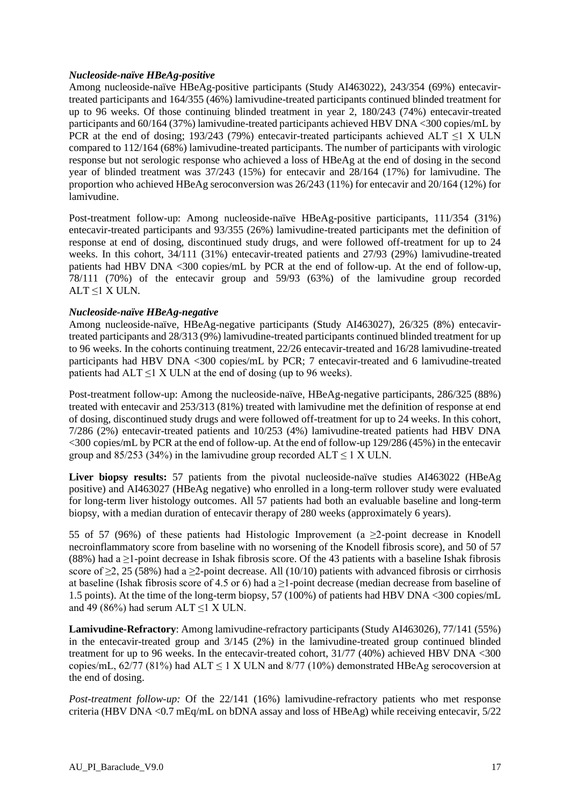#### *Nucleoside-naïve HBeAg-positive*

Among nucleoside-naïve HBeAg-positive participants (Study AI463022), 243/354 (69%) entecavirtreated participants and 164/355 (46%) lamivudine-treated participants continued blinded treatment for up to 96 weeks. Of those continuing blinded treatment in year 2, 180/243 (74%) entecavir-treated participants and 60/164 (37%) lamivudine-treated participants achieved HBV DNA <300 copies/mL by PCR at the end of dosing; 193/243 (79%) entecavir-treated participants achieved ALT  $\leq$ 1 X ULN compared to 112/164 (68%) lamivudine-treated participants. The number of participants with virologic response but not serologic response who achieved a loss of HBeAg at the end of dosing in the second year of blinded treatment was 37/243 (15%) for entecavir and 28/164 (17%) for lamivudine. The proportion who achieved HBeAg seroconversion was 26/243 (11%) for entecavir and 20/164 (12%) for lamivudine.

Post-treatment follow-up: Among nucleoside-naïve HBeAg-positive participants, 111/354 (31%) entecavir-treated participants and 93/355 (26%) lamivudine-treated participants met the definition of response at end of dosing, discontinued study drugs, and were followed off-treatment for up to 24 weeks. In this cohort, 34/111 (31%) entecavir-treated patients and 27/93 (29%) lamivudine-treated patients had HBV DNA <300 copies/mL by PCR at the end of follow-up. At the end of follow-up, 78/111 (70%) of the entecavir group and 59/93 (63%) of the lamivudine group recorded ALT  $\leq$ 1 X ULN.

#### *Nucleoside-naïve HBeAg-negative*

Among nucleoside-naïve, HBeAg-negative participants (Study AI463027), 26/325 (8%) entecavirtreated participants and 28/313 (9%) lamivudine-treated participants continued blinded treatment for up to 96 weeks. In the cohorts continuing treatment, 22/26 entecavir-treated and 16/28 lamivudine-treated participants had HBV DNA <300 copies/mL by PCR; 7 entecavir-treated and 6 lamivudine-treated patients had  $ALT \leq 1$  X ULN at the end of dosing (up to 96 weeks).

Post-treatment follow-up: Among the nucleoside-naïve, HBeAg-negative participants, 286/325 (88%) treated with entecavir and 253/313 (81%) treated with lamivudine met the definition of response at end of dosing, discontinued study drugs and were followed off-treatment for up to 24 weeks. In this cohort, 7/286 (2%) entecavir-treated patients and 10/253 (4%) lamivudine-treated patients had HBV DNA <300 copies/mL by PCR at the end of follow-up. At the end of follow-up 129/286 (45%) in the entecavir group and 85/253 (34%) in the lamivudine group recorded  $ALT \le 1$  X ULN.

Liver biopsy results: 57 patients from the pivotal nucleoside-naïve studies AI463022 (HBeAg positive) and AI463027 (HBeAg negative) who enrolled in a long-term rollover study were evaluated for long-term liver histology outcomes. All 57 patients had both an evaluable baseline and long-term biopsy, with a median duration of entecavir therapy of 280 weeks (approximately 6 years).

55 of 57 (96%) of these patients had Histologic Improvement (a  $\geq$ 2-point decrease in Knodell necroinflammatory score from baseline with no worsening of the Knodell fibrosis score), and 50 of 57 (88%) had a  $\geq$ 1-point decrease in Ishak fibrosis score. Of the 43 patients with a baseline Ishak fibrosis score of  $\geq$ 2, 25 (58%) had a  $\geq$ 2-point decrease. All (10/10) patients with advanced fibrosis or cirrhosis at baseline (Ishak fibrosis score of 4.5 or 6) had a  $\geq$ 1-point decrease (median decrease from baseline of 1.5 points). At the time of the long-term biopsy, 57 (100%) of patients had HBV DNA <300 copies/mL and 49 (86%) had serum ALT  $\leq$ 1 X ULN.

**Lamivudine-Refractory**: Among lamivudine-refractory participants (Study AI463026), 77/141 (55%) in the entecavir-treated group and  $3/145$  (2%) in the lamivudine-treated group continued blinded treatment for up to 96 weeks. In the entecavir-treated cohort, 31/77 (40%) achieved HBV DNA <300 copies/mL,  $62/77$  (81%) had ALT < 1 X ULN and 8/77 (10%) demonstrated HBeAg serocoversion at the end of dosing.

*Post-treatment follow-up:* Of the 22/141 (16%) lamivudine-refractory patients who met response criteria (HBV DNA <0.7 mEq/mL on bDNA assay and loss of HBeAg) while receiving entecavir, 5/22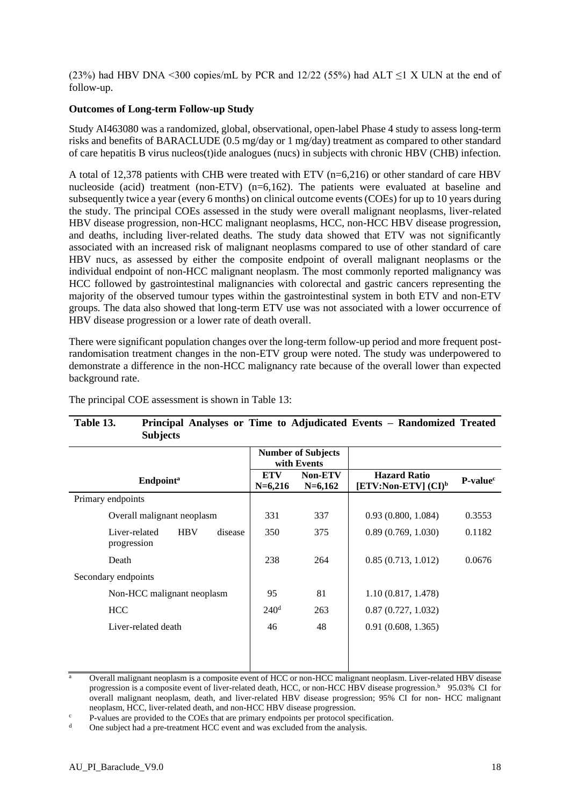(23%) had HBV DNA <300 copies/mL by PCR and 12/22 (55%) had ALT  $\leq$ 1 X ULN at the end of follow-up.

#### **Outcomes of Long-term Follow-up Study**

Study AI463080 was a randomized, global, observational, open-label Phase 4 study to assess long-term risks and benefits of BARACLUDE (0.5 mg/day or 1 mg/day) treatment as compared to other standard of care hepatitis B virus nucleos(t)ide analogues (nucs) in subjects with chronic HBV (CHB) infection.

A total of 12,378 patients with CHB were treated with ETV (n=6,216) or other standard of care HBV nucleoside (acid) treatment (non-ETV) (n=6,162). The patients were evaluated at baseline and subsequently twice a year (every 6 months) on clinical outcome events (COEs) for up to 10 years during the study. The principal COEs assessed in the study were overall malignant neoplasms, liver-related HBV disease progression, non-HCC malignant neoplasms, HCC, non-HCC HBV disease progression, and deaths, including liver-related deaths. The study data showed that ETV was not significantly associated with an increased risk of malignant neoplasms compared to use of other standard of care HBV nucs, as assessed by either the composite endpoint of overall malignant neoplasms or the individual endpoint of non-HCC malignant neoplasm. The most commonly reported malignancy was HCC followed by gastrointestinal malignancies with colorectal and gastric cancers representing the majority of the observed tumour types within the gastrointestinal system in both ETV and non-ETV groups. The data also showed that long-term ETV use was not associated with a lower occurrence of HBV disease progression or a lower rate of death overall.

There were significant population changes over the long-term follow-up period and more frequent postrandomisation treatment changes in the non-ETV group were noted. The study was underpowered to demonstrate a difference in the non-HCC malignancy rate because of the overall lower than expected background rate.

|                                                       |                         | <b>Number of Subjects</b><br>with Events |                                               |                      |
|-------------------------------------------------------|-------------------------|------------------------------------------|-----------------------------------------------|----------------------|
| <b>Endpoint</b> <sup>a</sup>                          | <b>ETV</b><br>$N=6,216$ | Non-ETV<br>$N=6,162$                     | <b>Hazard Ratio</b><br>[ETV:Non-ETV] $(CI)^b$ | P-value <sup>c</sup> |
| Primary endpoints                                     |                         |                                          |                                               |                      |
| Overall malignant neoplasm                            | 331                     | 337                                      | 0.93(0.800, 1.084)                            | 0.3553               |
| Liver-related<br><b>HBV</b><br>disease<br>progression | 350                     | 375                                      | 0.89(0.769, 1.030)                            | 0.1182               |
| Death                                                 | 238                     | 264                                      | 0.85(0.713, 1.012)                            | 0.0676               |
| Secondary endpoints                                   |                         |                                          |                                               |                      |
| Non-HCC malignant neoplasm                            | 95                      | 81                                       | 1.10(0.817, 1.478)                            |                      |
| <b>HCC</b>                                            | 240 <sup>d</sup>        | 263                                      | 0.87(0.727, 1.032)                            |                      |
| Liver-related death                                   | 46                      | 48                                       | 0.91(0.608, 1.365)                            |                      |
|                                                       |                         |                                          |                                               |                      |
|                                                       |                         |                                          |                                               |                      |

The principal COE assessment is shown in Table 13:

# **Table 13. Principal Analyses or Time to Adjudicated Events – Randomized Treated**

Overall malignant neoplasm is a composite event of HCC or non-HCC malignant neoplasm. Liver-related HBV disease progression is a composite event of liver-related death, HCC, or non-HCC HBV disease progression.<sup>b</sup> 95.03% CI for overall malignant neoplasm, death, and liver-related HBV disease progression; 95% CI for non- HCC malignant neoplasm, HCC, liver-related death, and non-HCC HBV disease progression.

 $c$  P-values are provided to the COEs that are primary endpoints per protocol specification.

One subject had a pre-treatment HCC event and was excluded from the analysis.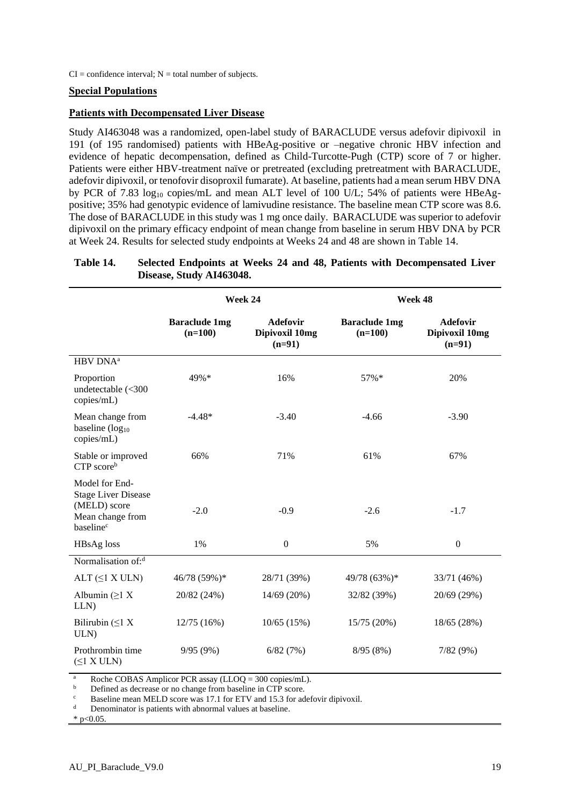#### **Special Populations**

#### **Patients with Decompensated Liver Disease**

Study AI463048 was a randomized, open-label study of BARACLUDE versus adefovir dipivoxil in 191 (of 195 randomised) patients with HBeAg-positive or –negative chronic HBV infection and evidence of hepatic decompensation, defined as Child-Turcotte-Pugh (CTP) score of 7 or higher. Patients were either HBV-treatment naïve or pretreated (excluding pretreatment with BARACLUDE, adefovir dipivoxil, or tenofovir disoproxil fumarate). At baseline, patients had a mean serum HBV DNA by PCR of 7.83  $log_{10}$  copies/mL and mean ALT level of 100 U/L; 54% of patients were HBeAgpositive; 35% had genotypic evidence of lamivudine resistance. The baseline mean CTP score was 8.6. The dose of BARACLUDE in this study was 1 mg once daily. BARACLUDE was superior to adefovir dipivoxil on the primary efficacy endpoint of mean change from baseline in serum HBV DNA by PCR at Week 24. Results for selected study endpoints at Weeks 24 and 48 are shown in Table 14.

#### **Table 14. Selected Endpoints at Weeks 24 and 48, Patients with Decompensated Liver Disease, Study AI463048.**

|                                                                                                           |                                   | Week 24                                       | Week 48                           |                                               |  |
|-----------------------------------------------------------------------------------------------------------|-----------------------------------|-----------------------------------------------|-----------------------------------|-----------------------------------------------|--|
|                                                                                                           | <b>Baraclude 1mg</b><br>$(n=100)$ | <b>Adefovir</b><br>Dipivoxil 10mg<br>$(n=91)$ | <b>Baraclude 1mg</b><br>$(n=100)$ | <b>Adefovir</b><br>Dipivoxil 10mg<br>$(n=91)$ |  |
| HBV DNA <sup>a</sup>                                                                                      |                                   |                                               |                                   |                                               |  |
| Proportion<br>undetectable (<300<br>copies/mL)                                                            | 49%*                              | 16%                                           | 57%*                              | 20%                                           |  |
| Mean change from<br>baseline $(log_{10}$<br>copies/mL)                                                    | $-4.48*$                          | $-3.40$                                       | $-4.66$                           | $-3.90$                                       |  |
| Stable or improved<br>CTP scoreb                                                                          | 66%                               | 71%                                           | 61%                               | 67%                                           |  |
| Model for End-<br><b>Stage Liver Disease</b><br>(MELD) score<br>Mean change from<br>baseline <sup>c</sup> | $-2.0$                            | $-0.9$                                        | $-2.6$                            | $-1.7$                                        |  |
| HBsAg loss                                                                                                | 1%                                | $\mathbf{0}$                                  | 5%                                | $\boldsymbol{0}$                              |  |
| Normalisation of: <sup>d</sup>                                                                            |                                   |                                               |                                   |                                               |  |
| ALT $(\leq 1$ X ULN)                                                                                      | 46/78 (59%)*                      | 28/71 (39%)                                   | 49/78 (63%)*                      | 33/71 (46%)                                   |  |
| Albumin $(≥1 X)$<br>LLN)                                                                                  | 20/82 (24%)                       | 14/69 (20%)                                   | 32/82 (39%)                       | 20/69 (29%)                                   |  |
| Bilirubin $(\leq 1 X)$<br>ULN)                                                                            | 12/75(16%)                        | 10/65(15%)                                    | 15/75 (20%)                       | 18/65 (28%)                                   |  |
| Prothrombin time<br>$(\leq 1$ X ULN)                                                                      | 9/95(9%)                          | 6/82(7%)                                      | 8/95(8%)                          | 7/82(9%)                                      |  |

<sup>a</sup> Roche COBAS Amplicor PCR assay (LLOQ = 300 copies/mL).<br> **b** Defined as decrease or no change from baseline in CTB score

<sup>b</sup> Defined as decrease or no change from baseline in CTP score.

Baseline mean MELD score was 17.1 for ETV and 15.3 for adefovir dipivoxil.

Denominator is patients with abnormal values at baseline.

 $*$  p<0.05.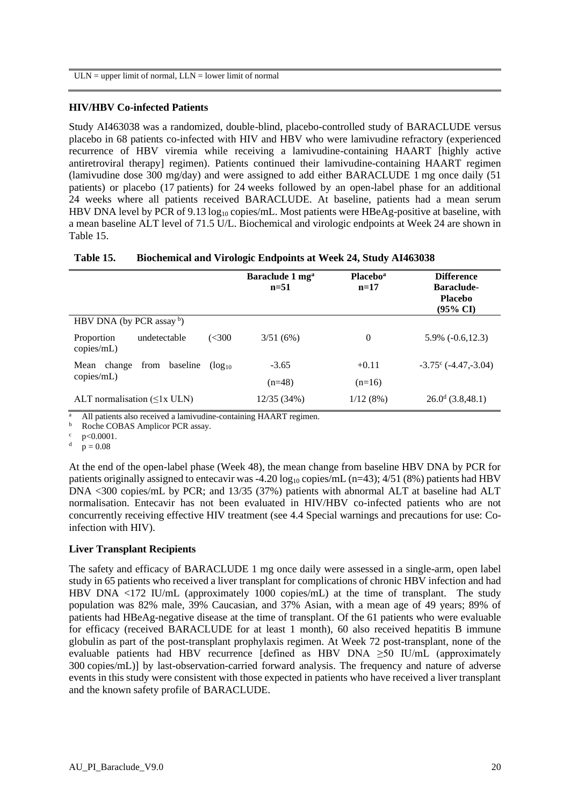#### **HIV/HBV Co-infected Patients**

Study AI463038 was a randomized, double-blind, placebo-controlled study of BARACLUDE versus placebo in 68 patients co-infected with HIV and HBV who were lamivudine refractory (experienced recurrence of HBV viremia while receiving a lamivudine-containing HAART [highly active antiretroviral therapy] regimen). Patients continued their lamivudine-containing HAART regimen (lamivudine dose 300 mg/day) and were assigned to add either BARACLUDE 1 mg once daily (51 patients) or placebo (17 patients) for 24 weeks followed by an open-label phase for an additional 24 weeks where all patients received BARACLUDE. At baseline, patients had a mean serum HBV DNA level by PCR of 9.13  $log_{10}$  copies/mL. Most patients were HBeAg-positive at baseline, with a mean baseline ALT level of 71.5 U/L. Biochemical and virologic endpoints at Week 24 are shown in Table 15.

|  | Table 15. |  |  |  |  | <b>Biochemical and Virologic Endpoints at Week 24, Study AI463038</b> |
|--|-----------|--|--|--|--|-----------------------------------------------------------------------|
|--|-----------|--|--|--|--|-----------------------------------------------------------------------|

|                                                   | Baraclude 1 mg <sup>a</sup><br>$n=51$ | <b>Placebo</b> <sup>a</sup><br>$n=17$ | <b>Difference</b><br><b>Baraclude-</b><br><b>Placebo</b><br>$(95\% \text{ CI})$ |
|---------------------------------------------------|---------------------------------------|---------------------------------------|---------------------------------------------------------------------------------|
| HBV DNA (by PCR assay b)                          |                                       |                                       |                                                                                 |
| (<300<br>undetectable<br>Proportion<br>copies/mL) | 3/51(6%)                              | $\theta$                              | $5.9\%$ ( $-0.6,12.3$ )                                                         |
| from<br>baseline<br>change<br>Mean<br>$(log_{10}$ | $-3.65$                               | $+0.11$                               | $-3.75^{\circ}$ ( $-4.47, -3.04$ )                                              |
| copies/mL)                                        | $(n=48)$                              | $(n=16)$                              |                                                                                 |
| ALT normalisation $(\leq 1x$ ULN)                 | 12/35 (34%)                           | 1/12(8%)                              | $26.0^d$ (3.8,48.1)                                                             |

All patients also received a lamivudine-containing HAART regimen.

 $\frac{b}{c}$  Roche COBAS Amplicor PCR assay.

 $p < 0.0001$ .

 $p = 0.08$ 

At the end of the open-label phase (Week 48), the mean change from baseline HBV DNA by PCR for patients originally assigned to entecavir was -4.20  $log_{10}$  copies/mL (n=43); 4/51 (8%) patients had HBV DNA <300 copies/mL by PCR; and 13/35 (37%) patients with abnormal ALT at baseline had ALT normalisation. Entecavir has not been evaluated in HIV/HBV co-infected patients who are not concurrently receiving effective HIV treatment (see 4.4 Special warnings and precautions for use: Coinfection with HIV).

#### **Liver Transplant Recipients**

The safety and efficacy of BARACLUDE 1 mg once daily were assessed in a single-arm, open label study in 65 patients who received a liver transplant for complications of chronic HBV infection and had HBV DNA  $\lt 172$  IU/mL (approximately 1000 copies/mL) at the time of transplant. The study population was 82% male, 39% Caucasian, and 37% Asian, with a mean age of 49 years; 89% of patients had HBeAg-negative disease at the time of transplant. Of the 61 patients who were evaluable for efficacy (received BARACLUDE for at least 1 month), 60 also received hepatitis B immune globulin as part of the post-transplant prophylaxis regimen. At Week 72 post-transplant, none of the evaluable patients had HBV recurrence [defined as HBV DNA ≥50 IU/mL (approximately 300 copies/mL)] by last-observation-carried forward analysis. The frequency and nature of adverse events in this study were consistent with those expected in patients who have received a liver transplant and the known safety profile of BARACLUDE.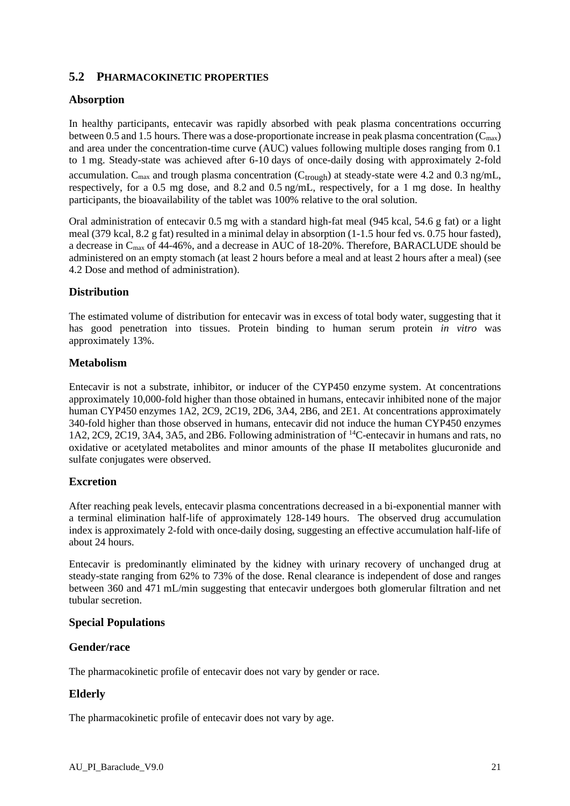# **5.2 PHARMACOKINETIC PROPERTIES**

## **Absorption**

In healthy participants, entecavir was rapidly absorbed with peak plasma concentrations occurring between 0.5 and 1.5 hours. There was a dose-proportionate increase in peak plasma concentration  $(C_{\text{max}})$ and area under the concentration-time curve (AUC) values following multiple doses ranging from 0.1 to 1 mg. Steady-state was achieved after 6-10 days of once-daily dosing with approximately 2-fold accumulation.  $C_{\text{max}}$  and trough plasma concentration ( $C_{\text{trough}}$ ) at steady-state were 4.2 and 0.3 ng/mL, respectively, for a 0.5 mg dose, and 8.2 and 0.5 ng/mL, respectively, for a 1 mg dose. In healthy participants, the bioavailability of the tablet was 100% relative to the oral solution.

Oral administration of entecavir 0.5 mg with a standard high-fat meal (945 kcal, 54.6 g fat) or a light meal (379 kcal, 8.2 g fat) resulted in a minimal delay in absorption (1-1.5 hour fed vs. 0.75 hour fasted), a decrease in Cmax of 44-46%, and a decrease in AUC of 18-20%. Therefore, BARACLUDE should be administered on an empty stomach (at least 2 hours before a meal and at least 2 hours after a meal) (see 4.2 Dose and method of administration).

# **Distribution**

The estimated volume of distribution for entecavir was in excess of total body water, suggesting that it has good penetration into tissues. Protein binding to human serum protein *in vitro* was approximately 13%.

#### **Metabolism**

Entecavir is not a substrate, inhibitor, or inducer of the CYP450 enzyme system. At concentrations approximately 10,000-fold higher than those obtained in humans, entecavir inhibited none of the major human CYP450 enzymes 1A2, 2C9, 2C19, 2D6, 3A4, 2B6, and 2E1. At concentrations approximately 340-fold higher than those observed in humans, entecavir did not induce the human CYP450 enzymes 1A2, 2C9, 2C19, 3A4, 3A5, and 2B6. Following administration of <sup>14</sup>C-entecavir in humans and rats, no oxidative or acetylated metabolites and minor amounts of the phase II metabolites glucuronide and sulfate conjugates were observed.

#### **Excretion**

After reaching peak levels, entecavir plasma concentrations decreased in a bi-exponential manner with a terminal elimination half-life of approximately 128-149 hours. The observed drug accumulation index is approximately 2-fold with once-daily dosing, suggesting an effective accumulation half-life of about 24 hours.

Entecavir is predominantly eliminated by the kidney with urinary recovery of unchanged drug at steady-state ranging from 62% to 73% of the dose. Renal clearance is independent of dose and ranges between 360 and 471 mL/min suggesting that entecavir undergoes both glomerular filtration and net tubular secretion.

#### **Special Populations**

#### **Gender/race**

The pharmacokinetic profile of entecavir does not vary by gender or race.

# **Elderly**

The pharmacokinetic profile of entecavir does not vary by age.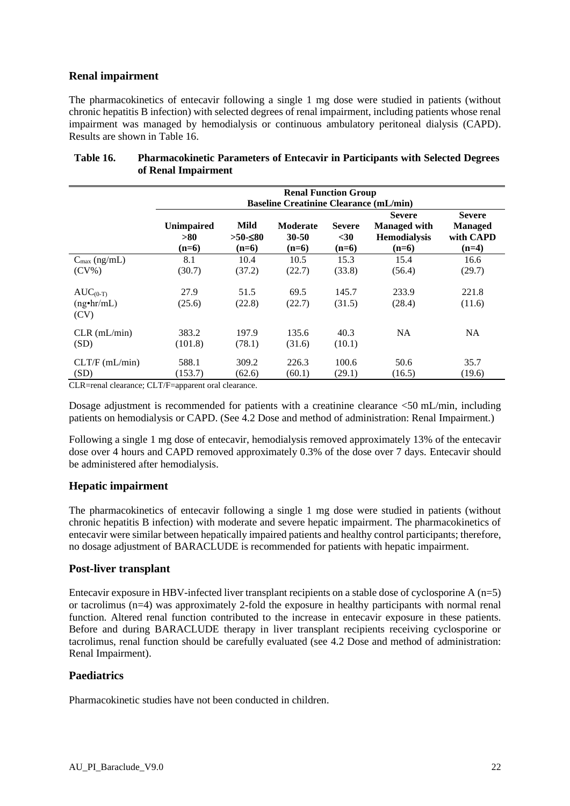## **Renal impairment**

The pharmacokinetics of entecavir following a single 1 mg dose were studied in patients (without chronic hepatitis B infection) with selected degrees of renal impairment, including patients whose renal impairment was managed by hemodialysis or continuous ambulatory peritoneal dialysis (CAPD). Results are shown in Table 16.

|                                            | <b>Renal Function Group</b><br><b>Baseline Creatinine Clearance (mL/min)</b> |                               |                                     |                                  |                                                                        |                                                         |
|--------------------------------------------|------------------------------------------------------------------------------|-------------------------------|-------------------------------------|----------------------------------|------------------------------------------------------------------------|---------------------------------------------------------|
|                                            | <b>Unimpaired</b><br>> 80<br>$(n=6)$                                         | Mild<br>$>50$ -≤80<br>$(n=6)$ | <b>Moderate</b><br>30-50<br>$(n=6)$ | <b>Severe</b><br>$30$<br>$(n=6)$ | <b>Severe</b><br><b>Managed with</b><br><b>Hemodialysis</b><br>$(n=6)$ | <b>Severe</b><br><b>Managed</b><br>with CAPD<br>$(n=4)$ |
| $C_{\text{max}}$ (ng/mL)<br>$(CV\%)$       | 8.1<br>(30.7)                                                                | 10.4<br>(37.2)                | 10.5<br>(22.7)                      | 15.3<br>(33.8)                   | 15.4<br>(56.4)                                                         | 16.6<br>(29.7)                                          |
| $AUC_{(0-T)}$<br>$(ng\cdot hr/mL)$<br>(CV) | 27.9<br>(25.6)                                                               | 51.5<br>(22.8)                | 69.5<br>(22.7)                      | 145.7<br>(31.5)                  | 233.9<br>(28.4)                                                        | 221.8<br>(11.6)                                         |
| $CLR$ (mL/min)<br>(SD)                     | 383.2<br>(101.8)                                                             | 197.9<br>(78.1)               | 135.6<br>(31.6)                     | 40.3<br>(10.1)                   | NA.                                                                    | <b>NA</b>                                               |
| CLT/F (mL/min)<br>(SD)                     | 588.1<br>(153.7)                                                             | 309.2<br>(62.6)               | 226.3<br>(60.1)                     | 100.6<br>(29.1)                  | 50.6<br>(16.5)                                                         | 35.7<br>(19.6)                                          |

## **Table 16. Pharmacokinetic Parameters of Entecavir in Participants with Selected Degrees of Renal Impairment**

CLR=renal clearance; CLT/F=apparent oral clearance.

Dosage adjustment is recommended for patients with a creatinine clearance  $\leq 50$  mL/min, including patients on hemodialysis or CAPD. (See 4.2 Dose and method of administration: Renal Impairment.)

Following a single 1 mg dose of entecavir, hemodialysis removed approximately 13% of the entecavir dose over 4 hours and CAPD removed approximately 0.3% of the dose over 7 days. Entecavir should be administered after hemodialysis.

#### **Hepatic impairment**

The pharmacokinetics of entecavir following a single 1 mg dose were studied in patients (without chronic hepatitis B infection) with moderate and severe hepatic impairment. The pharmacokinetics of entecavir were similar between hepatically impaired patients and healthy control participants; therefore, no dosage adjustment of BARACLUDE is recommended for patients with hepatic impairment.

#### **Post-liver transplant**

Entecavir exposure in HBV-infected liver transplant recipients on a stable dose of cyclosporine A  $(n=5)$ or tacrolimus (n=4) was approximately 2-fold the exposure in healthy participants with normal renal function. Altered renal function contributed to the increase in entecavir exposure in these patients. Before and during BARACLUDE therapy in liver transplant recipients receiving cyclosporine or tacrolimus, renal function should be carefully evaluated (see 4.2 Dose and method of administration: Renal Impairment).

## **Paediatrics**

Pharmacokinetic studies have not been conducted in children.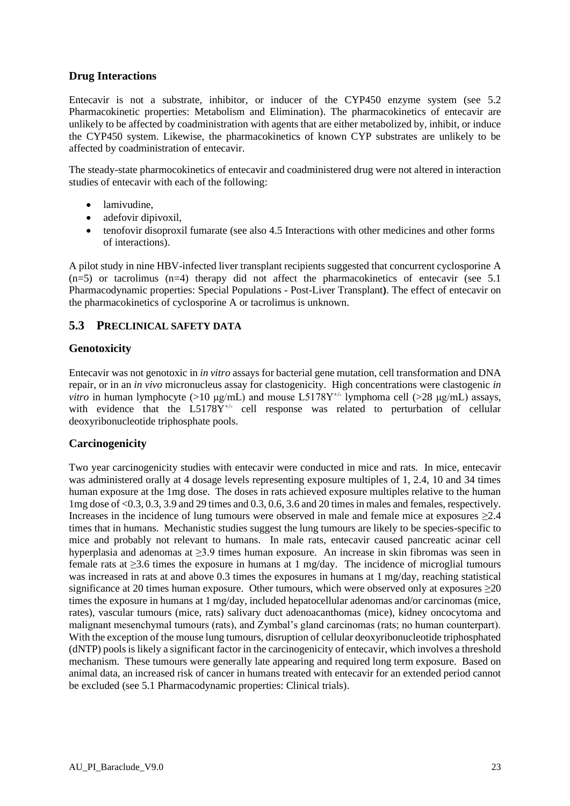## **Drug Interactions**

Entecavir is not a substrate, inhibitor, or inducer of the CYP450 enzyme system (see 5.2 Pharmacokinetic properties: Metabolism and Elimination). The pharmacokinetics of entecavir are unlikely to be affected by coadministration with agents that are either metabolized by, inhibit, or induce the CYP450 system. Likewise, the pharmacokinetics of known CYP substrates are unlikely to be affected by coadministration of entecavir.

The steady-state pharmocokinetics of entecavir and coadministered drug were not altered in interaction studies of entecavir with each of the following:

- lamivudine.
- adefovir dipivoxil,
- tenofovir disoproxil fumarate (see also 4.5 Interactions with other medicines and other forms of interactions).

A pilot study in nine HBV-infected liver transplant recipients suggested that concurrent cyclosporine A  $(n=5)$  or tacrolimus  $(n=4)$  therapy did not affect the pharmacokinetics of entecavir (see 5.1) Pharmacodynamic properties: Special Populations - Post-Liver Transplant**)**. The effect of entecavir on the pharmacokinetics of cyclosporine A or tacrolimus is unknown.

# **5.3 PRECLINICAL SAFETY DATA**

#### **Genotoxicity**

Entecavir was not genotoxic in *in vitro* assays for bacterial gene mutation, cell transformation and DNA repair, or in an *in vivo* micronucleus assay for clastogenicity. High concentrations were clastogenic *in vitro* in human lymphocyte (>10  $\mu$ g/mL) and mouse L5178Y<sup>+/-</sup> lymphoma cell (>28  $\mu$ g/mL) assays, with evidence that the L5178Y<sup>+/-</sup> cell response was related to perturbation of cellular deoxyribonucleotide triphosphate pools.

#### **Carcinogenicity**

Two year carcinogenicity studies with entecavir were conducted in mice and rats. In mice, entecavir was administered orally at 4 dosage levels representing exposure multiples of 1, 2.4, 10 and 34 times human exposure at the 1mg dose. The doses in rats achieved exposure multiples relative to the human 1mg dose of <0.3, 0.3, 3.9 and 29 times and 0.3, 0.6, 3.6 and 20 times in males and females, respectively. Increases in the incidence of lung tumours were observed in male and female mice at exposures  $\geq 2.4$ times that in humans. Mechanistic studies suggest the lung tumours are likely to be species-specific to mice and probably not relevant to humans. In male rats, entecavir caused pancreatic acinar cell hyperplasia and adenomas at ≥3.9 times human exposure. An increase in skin fibromas was seen in female rats at ≥3.6 times the exposure in humans at 1 mg/day. The incidence of microglial tumours was increased in rats at and above 0.3 times the exposures in humans at 1 mg/day, reaching statistical significance at 20 times human exposure. Other tumours, which were observed only at exposures  $\geq 20$ times the exposure in humans at 1 mg/day, included hepatocellular adenomas and/or carcinomas (mice, rates), vascular tumours (mice, rats) salivary duct adenoacanthomas (mice), kidney oncocytoma and malignant mesenchymal tumours (rats), and Zymbal's gland carcinomas (rats; no human counterpart). With the exception of the mouse lung tumours, disruption of cellular deoxyribonucleotide triphosphated (dNTP) poolsis likely a significant factor in the carcinogenicity of entecavir, which involves a threshold mechanism. These tumours were generally late appearing and required long term exposure. Based on animal data, an increased risk of cancer in humans treated with entecavir for an extended period cannot be excluded (see 5.1 Pharmacodynamic properties: Clinical trials).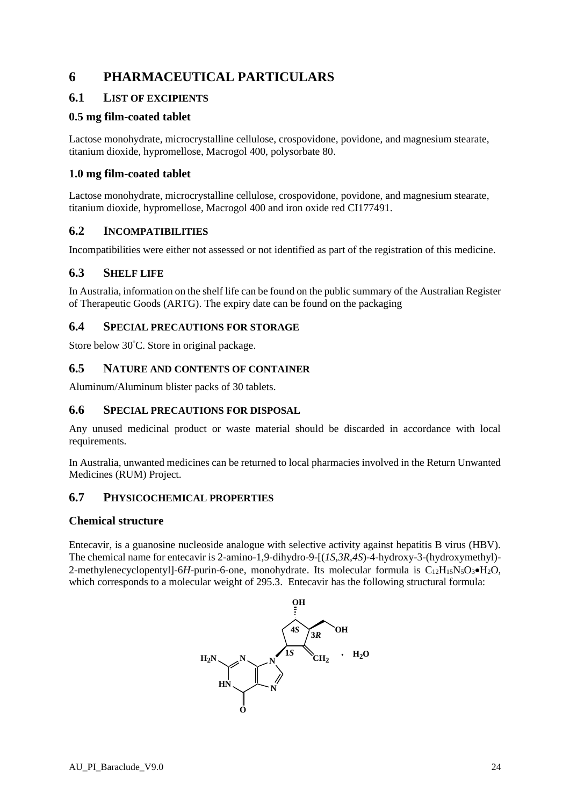# **6 PHARMACEUTICAL PARTICULARS**

# **6.1 LIST OF EXCIPIENTS**

## **0.5 mg film-coated tablet**

Lactose monohydrate, microcrystalline cellulose, crospovidone, povidone, and magnesium stearate, titanium dioxide, hypromellose, Macrogol 400, polysorbate 80.

# **1.0 mg film-coated tablet**

Lactose monohydrate, microcrystalline cellulose, crospovidone, povidone, and magnesium stearate, titanium dioxide, hypromellose, Macrogol 400 and iron oxide red CI177491.

# **6.2 INCOMPATIBILITIES**

Incompatibilities were either not assessed or not identified as part of the registration of this medicine.

# **6.3 SHELF LIFE**

In Australia, information on the shelf life can be found on the public summary of the Australian Register of Therapeutic Goods (ARTG). The expiry date can be found on the packaging

#### **6.4 SPECIAL PRECAUTIONS FOR STORAGE**

Store below 30°C. Store in original package.

#### **6.5 NATURE AND CONTENTS OF CONTAINER**

Aluminum/Aluminum blister packs of 30 tablets.

#### **6.6 SPECIAL PRECAUTIONS FOR DISPOSAL**

Any unused medicinal product or waste material should be discarded in accordance with local requirements.

In Australia, unwanted medicines can be returned to local pharmacies involved in the Return Unwanted Medicines (RUM) Project.

#### **6.7 PHYSICOCHEMICAL PROPERTIES**

#### **Chemical structure**

Entecavir, is a guanosine nucleoside analogue with selective activity against hepatitis B virus (HBV). The chemical name for entecavir is 2-amino-1,9-dihydro-9-[(*1S,3R,4S*)-4-hydroxy-3-(hydroxymethyl)- 2-methylenecyclopentyll-6*H*-purin-6-one, monohydrate. Its molecular formula is C<sub>12</sub>H<sub>15</sub>N<sub>5</sub>O<sub>3</sub>•H<sub>2</sub>O, which corresponds to a molecular weight of 295.3. Entecavir has the following structural formula: